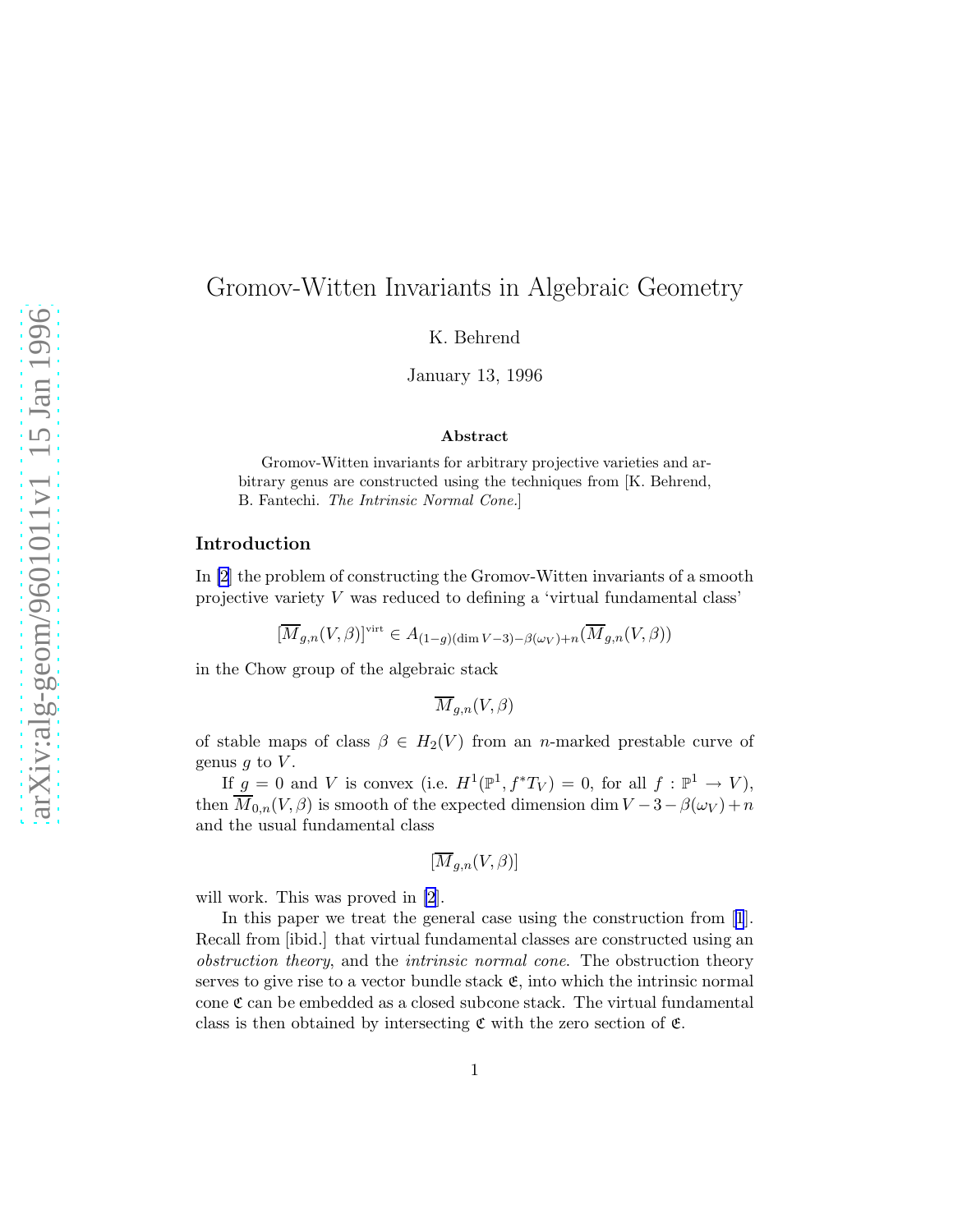# Gromov-Witten Invariants in Algebraic Geometry

K. Behrend

January 13, 1996

#### Abstract

Gromov-Witten invariants for arbitrary projective varieties and arbitrary genus are constructed using the techniques from [K. Behrend, B. Fantechi. The Intrinsic Normal Cone.]

# Introduction

In [\[2\]](#page-19-0) the problem of constructing the Gromov-Witten invariants of a smooth projective variety V was reduced to defining a 'virtual fundamental class'

$$
[\overline{M}_{g,n}(V,\beta)]^{\rm virt}\in A_{(1-g)(\dim V-3)-\beta(\omega_V)+n}(\overline{M}_{g,n}(V,\beta))
$$

in the Chow group of the algebraic stack

$$
\overline{M}_{g,n}(V,\beta)
$$

of stable maps of class  $\beta \in H_2(V)$  from an n-marked prestable curve of genus  $q$  to  $V$ .

If  $g = 0$  and V is convex (i.e.  $H^1(\mathbb{P}^1, f^*T_V) = 0$ , for all  $f : \mathbb{P}^1 \to V$ ), then  $\overline{M}_{0,n}(V,\beta)$  is smooth of the expected dimension dim  $V-3-\beta(\omega_V)+n$ and the usual fundamental class

$$
[\overline{M}_{g,n}(V,\beta)]
$$

will work. This was proved in [\[2\]](#page-19-0).

In this paper we treat the general case using the construction from[[1](#page-19-0)]. Recall from [ibid.] that virtual fundamental classes are constructed using an obstruction theory, and the intrinsic normal cone. The obstruction theory serves to give rise to a vector bundle stack  $\mathfrak{E}$ , into which the intrinsic normal cone  $\mathfrak c$  can be embedded as a closed subcone stack. The virtual fundamental class is then obtained by intersecting  $\mathfrak c$  with the zero section of  $\mathfrak c$ .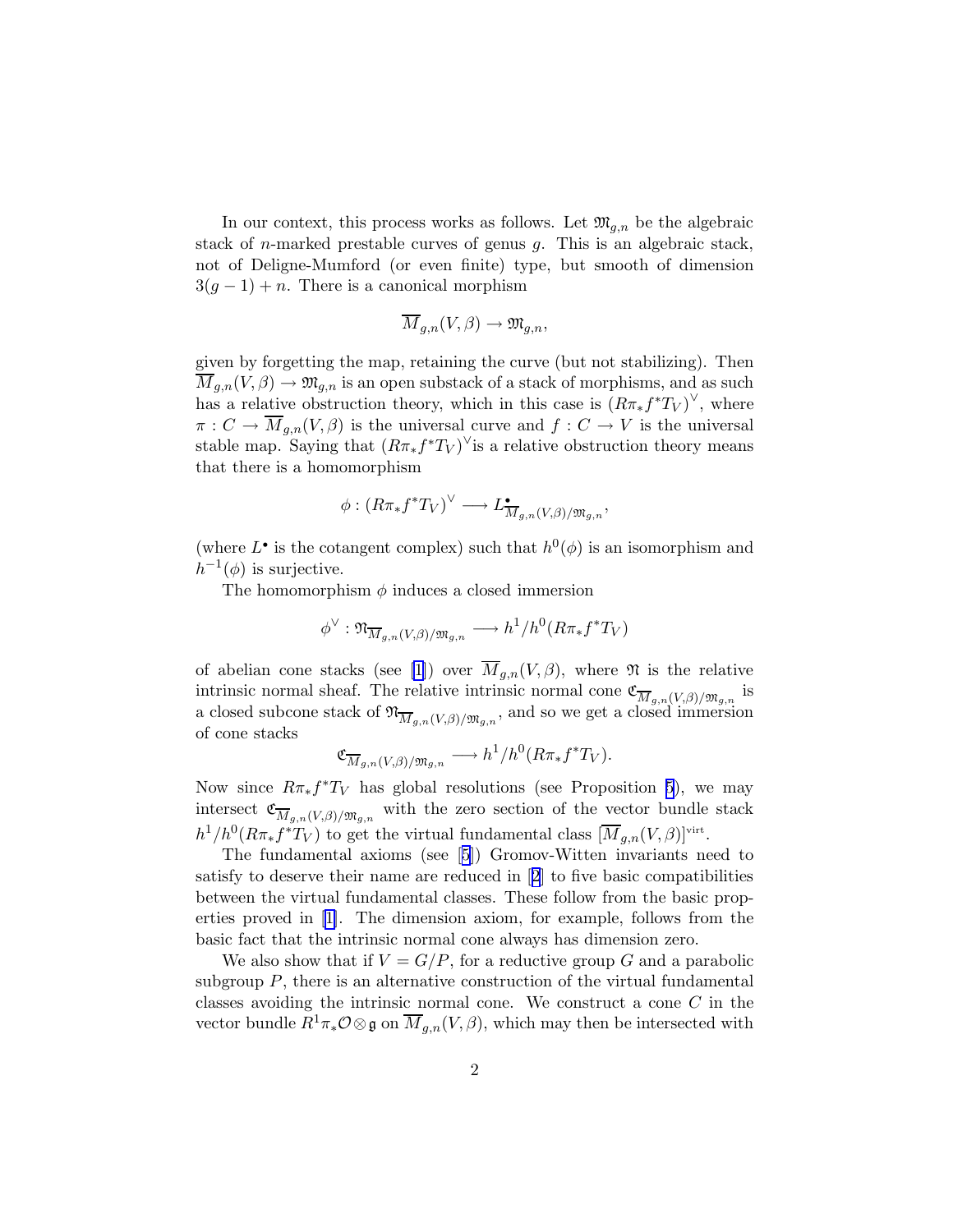In our context, this process works as follows. Let  $\mathfrak{M}_{q,n}$  be the algebraic stack of *n*-marked prestable curves of genus  $g$ . This is an algebraic stack, not of Deligne-Mumford (or even finite) type, but smooth of dimension  $3(q-1) + n$ . There is a canonical morphism

$$
\overline{M}_{g,n}(V,\beta) \to \mathfrak{M}_{g,n},
$$

given by forgetting the map, retaining the curve (but not stabilizing). Then  $\overline{M}_{g,n}(V,\beta) \to \mathfrak{M}_{g,n}$  is an open substack of a stack of morphisms, and as such has a relative obstruction theory, which in this case is  $(R\pi_*f^*T_V)^\vee$ , where  $\pi: C \to \overline{M}_{g,n}(V, \beta)$  is the universal curve and  $f: C \to V$  is the universal stable map. Saying that  $(R\pi_*f^*T_V)^\vee$  is a relative obstruction theory means that there is a homomorphism

$$
\phi: (R\pi_*f^*T_V)^\vee \longrightarrow L^\bullet_{\overline{M}_{g,n}(V,\beta)/\mathfrak{M}_{g,n}},
$$

(where  $L^{\bullet}$  is the cotangent complex) such that  $h^0(\phi)$  is an isomorphism and  $h^{-1}(\phi)$  is surjective.

The homomorphism  $\phi$  induces a closed immersion

$$
\phi^{\vee} : \mathfrak{N}_{\overline{M}_{g,n}(V,\beta)/\mathfrak{M}_{g,n}} \longrightarrow h^1/h^0(R\pi_*f^*T_V)
$$

of abelian cone stacks (see [\[1\]](#page-19-0)) over  $\overline{M}_{g,n}(V,\beta)$ , where  $\mathfrak N$  is the relative intrinsic normal sheaf. The relative intrinsic normal cone  $\mathfrak{C}_{\overline{M}_{g,n}(V,\beta)/\mathfrak{M}_{g,n}}$  is a closed subcone stack of  $\mathfrak{N}_{\overline{M}_{g,n}(V,\beta)/\mathfrak{M}_{g,n}}$ , and so we get a closed immersion of cone stacks

$$
\mathfrak{C}_{\overline{M}_{g,n}(V,\beta)/\mathfrak{M}_{g,n}} \longrightarrow h^1/h^0(R\pi_*f^*T_V).
$$

Now since  $R\pi_* f^*T_V$  has global resolutions (see Proposition [5](#page-4-0)), we may intersect  $\mathfrak{C}_{\overline{M}_{g,n}(V,\beta)/\mathfrak{M}_{g,n}}$  with the zero section of the vector bundle stack  $h^1/h^0(R\pi_*f^*T_V)$  to get the virtual fundamental class  $[\overline{M}_{g,n}(V,\beta)]^{\text{virt}}$ .

The fundamental axioms (see[[5](#page-19-0)]) Gromov-Witten invariants need to satisfy to deserve their name are reduced in[[2](#page-19-0)] to five basic compatibilities between the virtual fundamental classes. These follow from the basic properties proved in [\[1\]](#page-19-0). The dimension axiom, for example, follows from the basic fact that the intrinsic normal cone always has dimension zero.

We also show that if  $V = G/P$ , for a reductive group G and a parabolic subgroup  $P$ , there is an alternative construction of the virtual fundamental classes avoiding the intrinsic normal cone. We construct a cone  $C$  in the vector bundle  $R^1\pi_*\mathcal{O}\otimes\mathfrak{g}$  on  $\overline{M}_{q,n}(V,\beta)$ , which may then be intersected with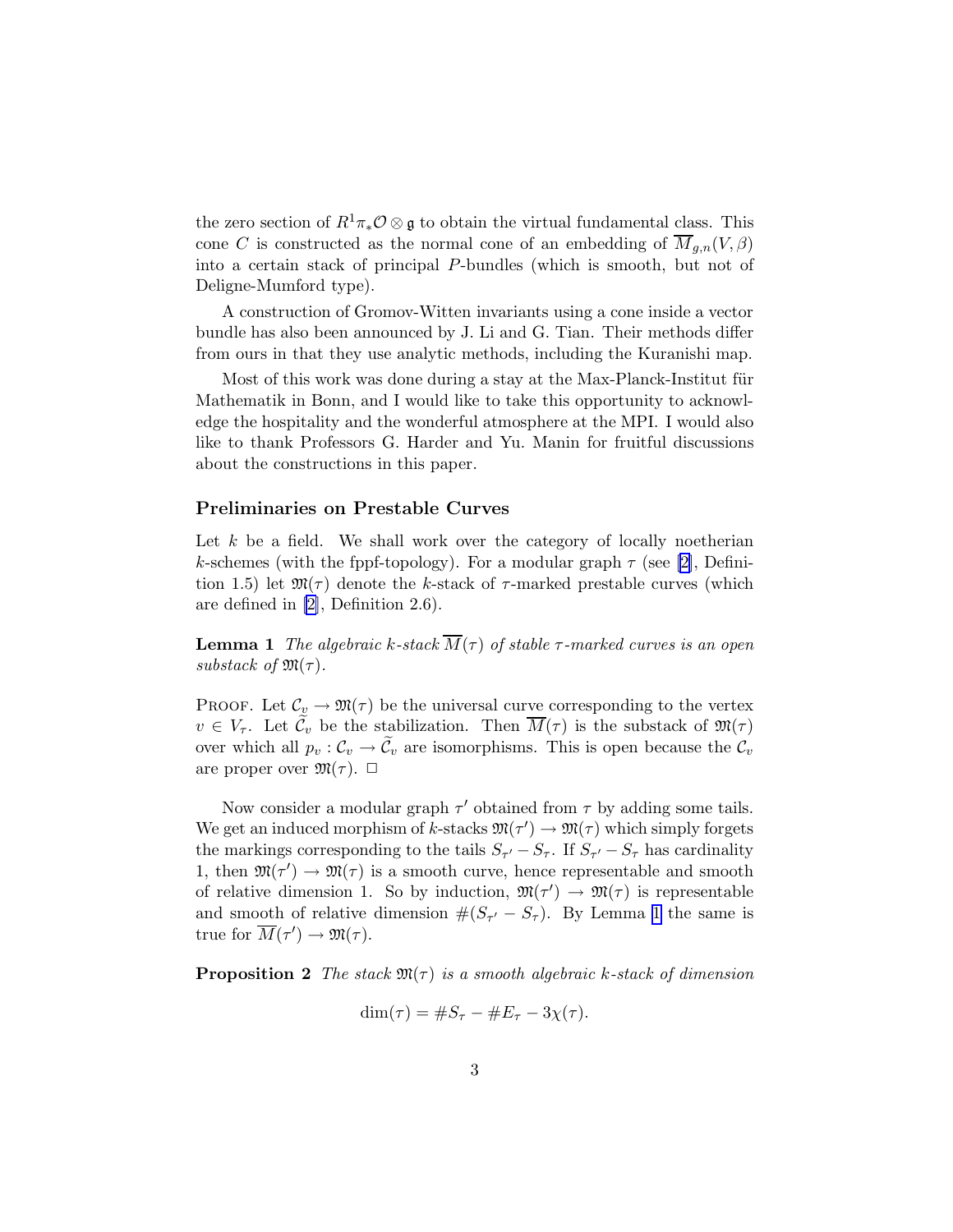the zero section of  $R^1\pi_*\mathcal{O}\otimes\mathfrak{g}$  to obtain the virtual fundamental class. This cone C is constructed as the normal cone of an embedding of  $\overline{M}_{q,n}(V,\beta)$ into a certain stack of principal P-bundles (which is smooth, but not of Deligne-Mumford type).

A construction of Gromov-Witten invariants using a cone inside a vector bundle has also been announced by J. Li and G. Tian. Their methods differ from ours in that they use analytic methods, including the Kuranishi map.

Most of this work was done during a stay at the Max-Planck-Institut für Mathematik in Bonn, and I would like to take this opportunity to acknowledge the hospitality and the wonderful atmosphere at the MPI. I would also like to thank Professors G. Harder and Yu. Manin for fruitful discussions about the constructions in this paper.

# Preliminaries on Prestable Curves

Let  $k$  be a field. We shall work over the category of locally noetherian k-schemes (with the fppf-topology). For a modular graph  $\tau$  (see [\[2\]](#page-19-0), Definition 1.5) let  $\mathfrak{M}(\tau)$  denote the k-stack of  $\tau$ -marked prestable curves (which are defined in [\[2\]](#page-19-0), Definition 2.6).

**Lemma 1** The algebraic k-stack  $\overline{M}(\tau)$  of stable  $\tau$ -marked curves is an open substack of  $\mathfrak{M}(\tau)$ .

PROOF. Let  $\mathcal{C}_v \to \mathfrak{M}(\tau)$  be the universal curve corresponding to the vertex  $v \in V_{\tau}$ . Let  $\mathcal{C}_v$  be the stabilization. Then  $\overline{M}(\tau)$  is the substack of  $\mathfrak{M}(\tau)$ over which all  $p_v : C_v \to \widetilde{C}_v$  are isomorphisms. This is open because the  $C_v$ are proper over  $\mathfrak{M}(\tau)$ .  $\Box$ 

Now consider a modular graph  $\tau'$  obtained from  $\tau$  by adding some tails. We get an induced morphism of k-stacks  $\mathfrak{M}(\tau') \to \mathfrak{M}(\tau)$  which simply forgets the markings corresponding to the tails  $S_{\tau'} - S_{\tau}$ . If  $S_{\tau'} - S_{\tau}$  has cardinality 1, then  $\mathfrak{M}(\tau') \to \mathfrak{M}(\tau)$  is a smooth curve, hence representable and smooth of relative dimension 1. So by induction,  $\mathfrak{M}(\tau') \to \mathfrak{M}(\tau)$  is representable and smooth of relative dimension  $\#(S_{\tau'} - S_{\tau})$ . By Lemma 1 the same is true for  $\overline{M}(\tau') \to \mathfrak{M}(\tau)$ .

**Proposition 2** The stack  $\mathfrak{M}(\tau)$  is a smooth algebraic k-stack of dimension

$$
\dim(\tau) = \#S_{\tau} - \#E_{\tau} - 3\chi(\tau).
$$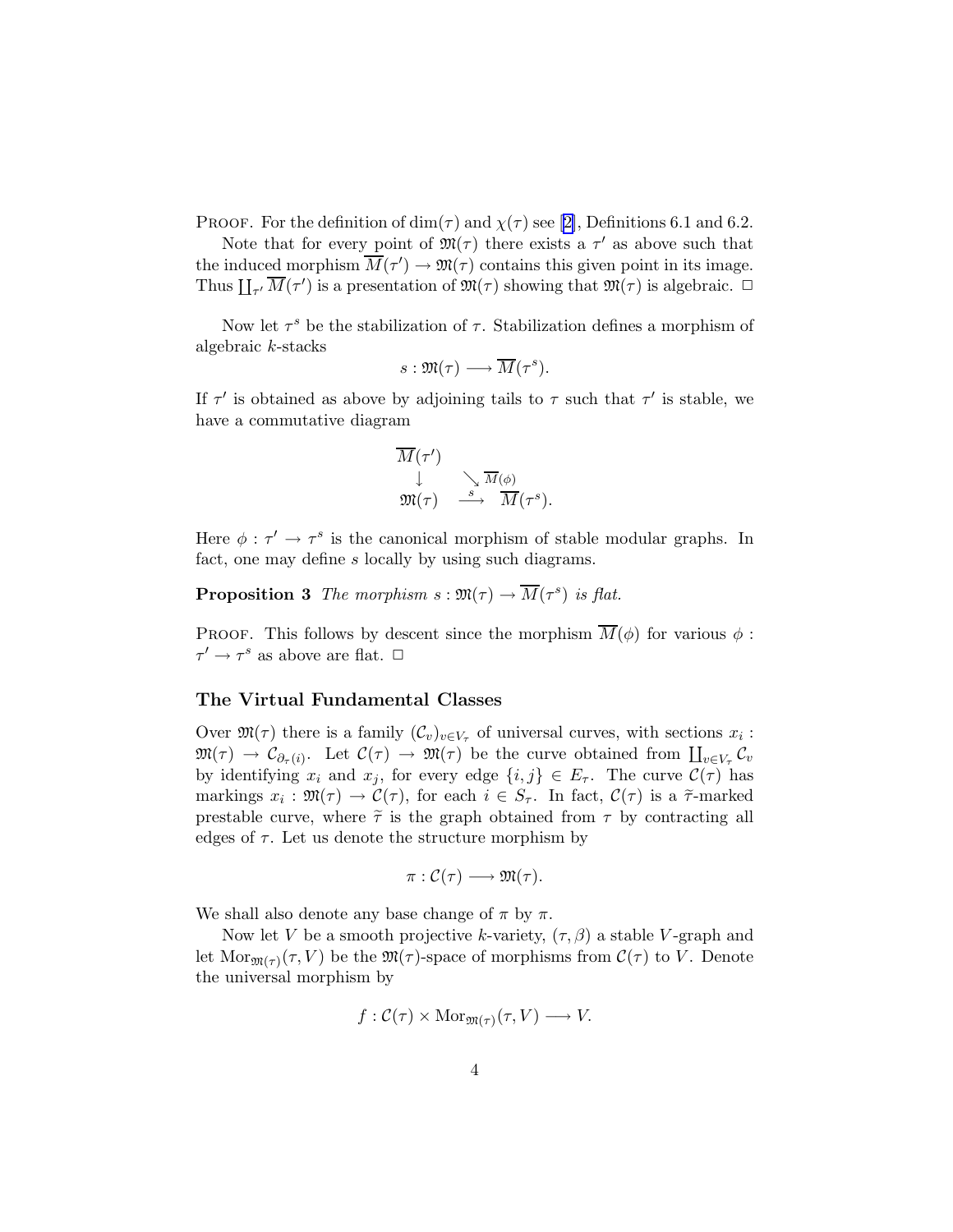PROOF. For the definition of dim( $\tau$ ) and  $\chi(\tau)$  see [\[2\]](#page-19-0), Definitions 6.1 and 6.2.

Note that for every point of  $\mathfrak{M}(\tau)$  there exists a  $\tau'$  as above such that the induced morphism  $\overline{M}(\tau') \to \mathfrak{M}(\tau)$  contains this given point in its image. Thus  $\prod_{\tau'} \overline{M}(\tau')$  is a presentation of  $\mathfrak{M}(\tau)$  showing that  $\mathfrak{M}(\tau)$  is algebraic.  $\Box$ 

Now let  $\tau^s$  be the stabilization of  $\tau$ . Stabilization defines a morphism of algebraic k-stacks

$$
s:\mathfrak{M}(\tau)\longrightarrow \overline{M}(\tau^{s}).
$$

If  $\tau'$  is obtained as above by adjoining tails to  $\tau$  such that  $\tau'$  is stable, we have a commutative diagram

$$
\begin{array}{c}\n\overline{M}(\tau')\downarrow^{\quad\quad}\longrightarrow \overline{M}(\phi)\\
\downarrow^{\quad\quad\quad}\longrightarrow \overline{M}(\tau')\end{array}.
$$

Here  $\phi : \tau' \to \tau^s$  is the canonical morphism of stable modular graphs. In fact, one may define s locally by using such diagrams.

**Proposition 3** The morphism  $s : \mathfrak{M}(\tau) \to \overline{M}(\tau^s)$  is flat.

PROOF. This follows by descent since the morphism  $\overline{M}(\phi)$  for various  $\phi$ :  $\tau' \to \tau^s$  as above are flat.  $\Box$ 

# The Virtual Fundamental Classes

Over  $\mathfrak{M}(\tau)$  there is a family  $(\mathcal{C}_v)_{v \in V_\tau}$  of universal curves, with sections  $x_i$ :  $\mathfrak{M}(\tau) \to \mathcal{C}_{\partial_{\tau}(i)}$ . Let  $\mathcal{C}(\tau) \to \mathfrak{M}(\tau)$  be the curve obtained from  $\prod_{v \in V_{\tau}} \mathcal{C}_v$ by identifying  $x_i$  and  $x_j$ , for every edge  $\{i, j\} \in E_\tau$ . The curve  $\mathcal{C}(\tau)$  has markings  $x_i : \mathfrak{M}(\tau) \to \mathcal{C}(\tau)$ , for each  $i \in S_{\tau}$ . In fact,  $\mathcal{C}(\tau)$  is a  $\tilde{\tau}$ -marked prestable curve, where  $\tilde{\tau}$  is the graph obtained from  $\tau$  by contracting all edges of  $\tau$ . Let us denote the structure morphism by

$$
\pi:\mathcal{C}(\tau)\longrightarrow\mathfrak{M}(\tau).
$$

We shall also denote any base change of  $\pi$  by  $\pi$ .

Now let V be a smooth projective k-variety,  $(\tau, \beta)$  a stable V-graph and let  $\text{Mor}_{\mathfrak{M}(\tau)}(\tau, V)$  be the  $\mathfrak{M}(\tau)$ -space of morphisms from  $\mathcal{C}(\tau)$  to V. Denote the universal morphism by

$$
f: \mathcal{C}(\tau) \times \text{Mor}_{\mathfrak{M}(\tau)}(\tau, V) \longrightarrow V.
$$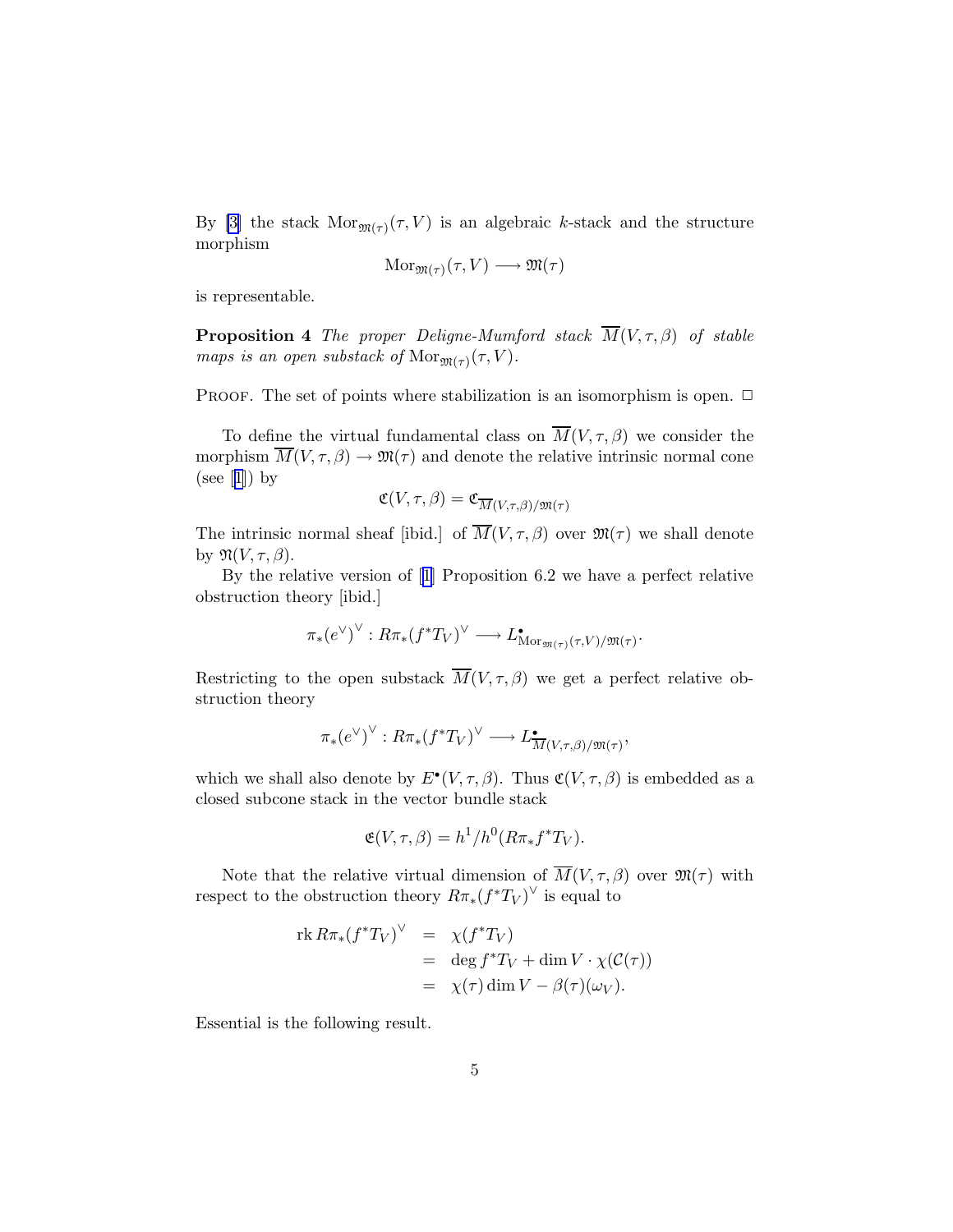<span id="page-4-0"></span>By [\[3\]](#page-19-0) the stack  $Mor_{\mathfrak{M}(\tau)}(\tau, V)$  is an algebraic k-stack and the structure morphism

$$
\mathrm{Mor}_{\mathfrak{M}(\tau)}(\tau,V) \longrightarrow \mathfrak{M}(\tau)
$$

is representable.

**Proposition 4** The proper Deligne-Mumford stack  $\overline{M}(V, \tau, \beta)$  of stable maps is an open substack of  $\text{Mor}_{\mathfrak{M}(\tau)}(\tau, V)$ .

PROOF. The set of points where stabilization is an isomorphism is open.  $\Box$ 

To define the virtual fundamental class on  $\overline{M}(V, \tau, \beta)$  we consider the morphism  $\overline{M}(V,\tau,\beta) \to \mathfrak{M}(\tau)$  and denote the relative intrinsic normal cone (see $[1]$  $[1]$  $[1]$ ) by

$$
\mathfrak{C}(V,\tau,\beta)=\mathfrak{C}_{\overline{M}(V,\tau,\beta)/\mathfrak{M}(\tau)}
$$

The intrinsic normal sheaf [ibid.] of  $\overline{M}(V, \tau, \beta)$  over  $\mathfrak{M}(\tau)$  we shall denote by  $\mathfrak{N}(V,\tau,\beta)$ .

By the relative version of[[1](#page-19-0)] Proposition 6.2 we have a perfect relative obstruction theory [ibid.]

$$
\pi_*(e^{\vee})^{\vee}: R\pi_*(f^*T_V)^{\vee} \longrightarrow L^{\bullet}_{\mathrm{Mor}_{\mathfrak{M}(\tau)}(\tau,V)/\mathfrak{M}(\tau)}.
$$

Restricting to the open substack  $\overline{M}(V,\tau,\beta)$  we get a perfect relative obstruction theory

$$
\pi_*(e^{\vee})^{\vee}: R\pi_*(f^*T_V)^{\vee} \longrightarrow L^{\bullet}_{\overline{M}(V,\tau,\beta)/\mathfrak{M}(\tau)},
$$

which we shall also denote by  $E^{\bullet}(V, \tau, \beta)$ . Thus  $\mathfrak{C}(V, \tau, \beta)$  is embedded as a closed subcone stack in the vector bundle stack

$$
\mathfrak{E}(V,\tau,\beta) = h^1/h^0(R\pi_*f^*T_V).
$$

Note that the relative virtual dimension of  $M(V, \tau, \beta)$  over  $\mathfrak{M}(\tau)$  with respect to the obstruction theory  $R\pi_*(f^*T_V)^\vee$  is equal to

$$
\operatorname{rk} R\pi_*(f^*T_V)^\vee = \chi(f^*T_V) \n= \deg f^*T_V + \dim V \cdot \chi(\mathcal{C}(\tau)) \n= \chi(\tau) \dim V - \beta(\tau)(\omega_V).
$$

Essential is the following result.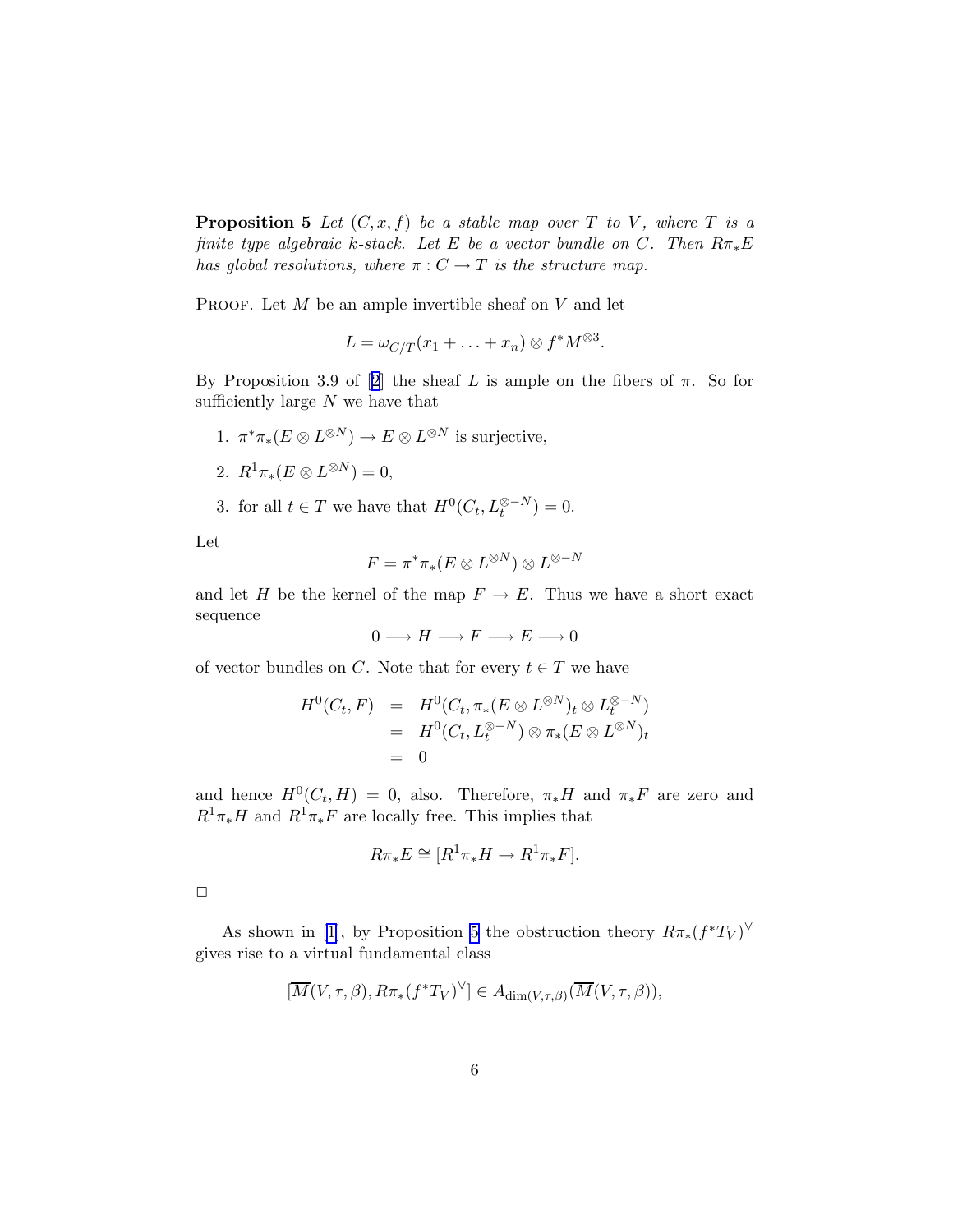**Proposition 5** Let  $(C, x, f)$  be a stable map over T to V, where T is a finite type algebraic k-stack. Let E be a vector bundle on C. Then  $R\pi_*E$ has global resolutions, where  $\pi: C \to T$  is the structure map.

PROOF. Let  $M$  be an ample invertible sheaf on  $V$  and let

$$
L = \omega_{C/T}(x_1 + \ldots + x_n) \otimes f^*M^{\otimes 3}.
$$

ByProposition 3.9 of [[2](#page-19-0)] the sheaf L is ample on the fibers of  $\pi$ . So for sufficiently large  $N$  we have that

- 1.  $\pi^* \pi_*(E \otimes L^{\otimes N}) \to E \otimes L^{\otimes N}$  is surjective,
- 2.  $R^1 \pi_*(E \otimes L^{\otimes N}) = 0,$
- 3. for all  $t \in T$  we have that  $H^0(C_t, L_t^{\otimes -N}) = 0$ .

Let

$$
F=\pi^*\pi_*(E\otimes L^{\otimes N})\otimes L^{\otimes -N}
$$

and let H be the kernel of the map  $F \to E$ . Thus we have a short exact sequence

 $0 \longrightarrow H \longrightarrow F \longrightarrow E \longrightarrow 0$ 

of vector bundles on C. Note that for every  $t \in T$  we have

$$
H^0(C_t, F) = H^0(C_t, \pi_*(E \otimes L^{\otimes N})_t \otimes L_t^{\otimes -N})
$$
  
= 
$$
H^0(C_t, L_t^{\otimes -N}) \otimes \pi_*(E \otimes L^{\otimes N})_t
$$
  
= 0

and hence  $H^0(C_t, H) = 0$ , also. Therefore,  $\pi_* H$  and  $\pi_* F$  are zero and  $R^1\pi_*H$  and  $R^1\pi_*F$  are locally free. This implies that

$$
R\pi_*E \cong [R^1\pi_*H \to R^1\pi_*F].
$$

 $\Box$ 

As shown in [\[1\]](#page-19-0), by Proposition [5](#page-4-0) the obstruction theory  $R\pi_*(f^*T_V)^\vee$ gives rise to a virtual fundamental class

$$
[\overline{M}(V,\tau,\beta),R\pi_*(f^*T_V)^{\vee}]\in A_{\dim(V,\tau,\beta)}(\overline{M}(V,\tau,\beta)),
$$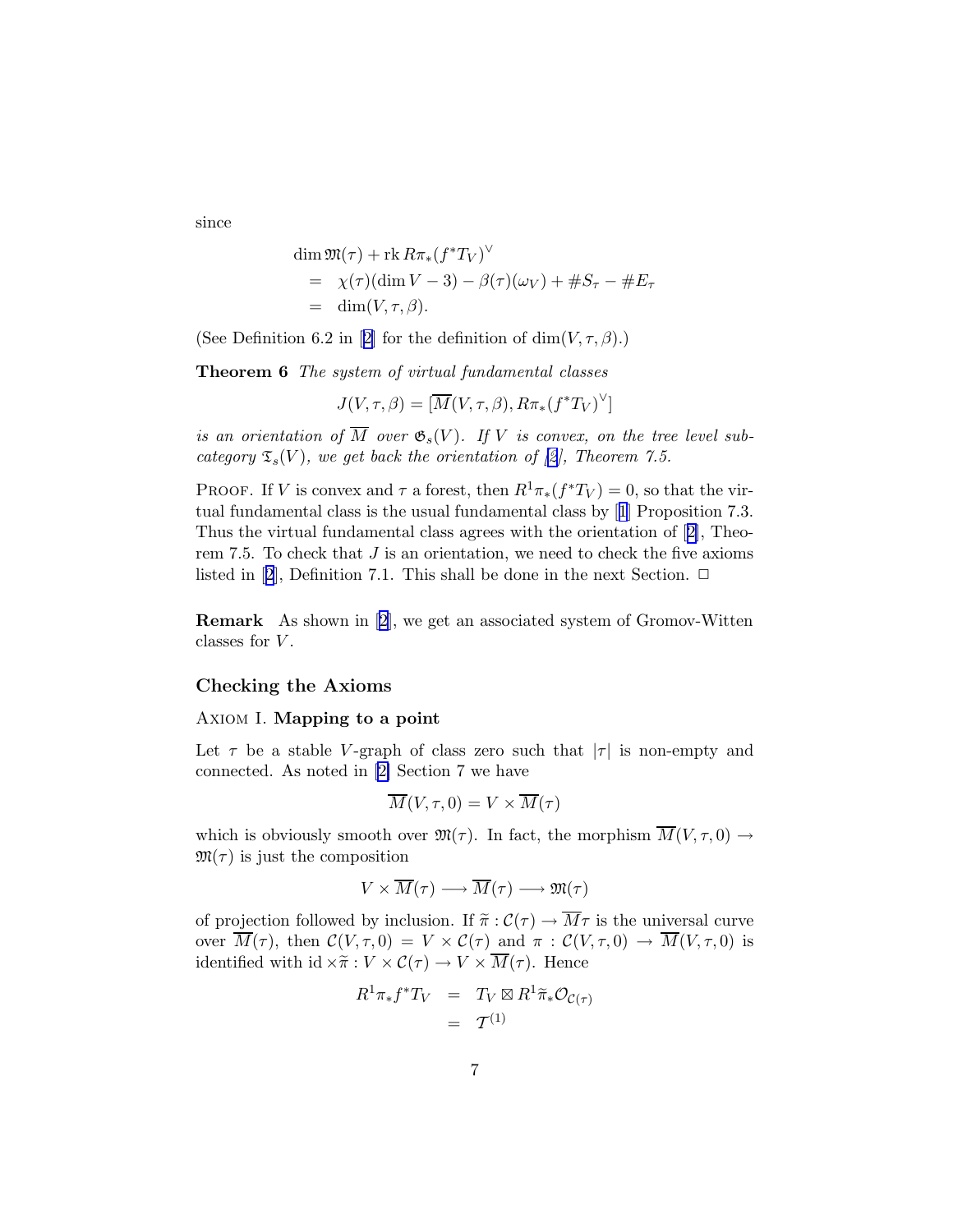<span id="page-6-0"></span>since

$$
\dim \mathfrak{M}(\tau) + \text{rk } R\pi_*(f^*T_V)^\vee
$$
  
=  $\chi(\tau)(\dim V - 3) - \beta(\tau)(\omega_V) + \#S_\tau - \#E_\tau$   
=  $\dim(V, \tau, \beta).$ 

(SeeDefinition 6.[2](#page-19-0) in [2] for the definition of  $\dim(V,\tau,\beta)$ .)

Theorem 6 The system of virtual fundamental classes

$$
J(V, \tau, \beta) = [\overline{M}(V, \tau, \beta), R\pi_*(f^*T_V)^\vee]
$$

is an orientation of  $\overline{M}$  over  $\mathfrak{G}_s(V)$ . If V is convex, on the tree level subcategory  $\mathfrak{T}_s(V)$ , we get back the orientation of [\[2\]](#page-19-0), Theorem 7.5.

PROOF. If V is convex and  $\tau$  a forest, then  $R^1\pi_*(f^*T_V) = 0$ , so that the virtual fundamental class is the usual fundamental class by[[1](#page-19-0)] Proposition 7.3. Thus the virtual fundamental class agrees with the orientation of[[2](#page-19-0)], Theorem 7.5. To check that  $J$  is an orientation, we need to check the five axioms listedin [[2](#page-19-0)], Definition 7.1. This shall be done in the next Section.  $\Box$ 

Remark As shown in[[2](#page-19-0)], we get an associated system of Gromov-Witten classes for  $V$ .

# Checking the Axioms

#### Axiom I. Mapping to a point

Let  $\tau$  be a stable V-graph of class zero such that  $|\tau|$  is non-empty and connected. As noted in [\[2\]](#page-19-0) Section 7 we have

$$
\overline{M}(V,\tau,0)=V\times\overline{M}(\tau)
$$

which is obviously smooth over  $\mathfrak{M}(\tau)$ . In fact, the morphism  $\overline{M}(V,\tau,0) \rightarrow$  $\mathfrak{M}(\tau)$  is just the composition

$$
V\times \overline{M}(\tau)\longrightarrow \overline{M}(\tau)\longrightarrow \mathfrak{M}(\tau)
$$

of projection followed by inclusion. If  $\tilde{\pi}: \mathcal{C}(\tau) \to \overline{M}\tau$  is the universal curve over  $\overline{M}(\tau)$ , then  $\mathcal{C}(V,\tau,0) = V \times \mathcal{C}(\tau)$  and  $\pi : \mathcal{C}(V,\tau,0) \to \overline{M}(V,\tau,0)$  is identified with  $id \times \tilde{\pi}: V \times C(\tau) \to V \times \overline{M}(\tau)$ . Hence

$$
R^{1}\pi_{*}f^{*}T_{V} = T_{V} \boxtimes R^{1}\widetilde{\pi}_{*}\mathcal{O}_{\mathcal{C}(\tau)}
$$
  
=  $\mathcal{T}^{(1)}$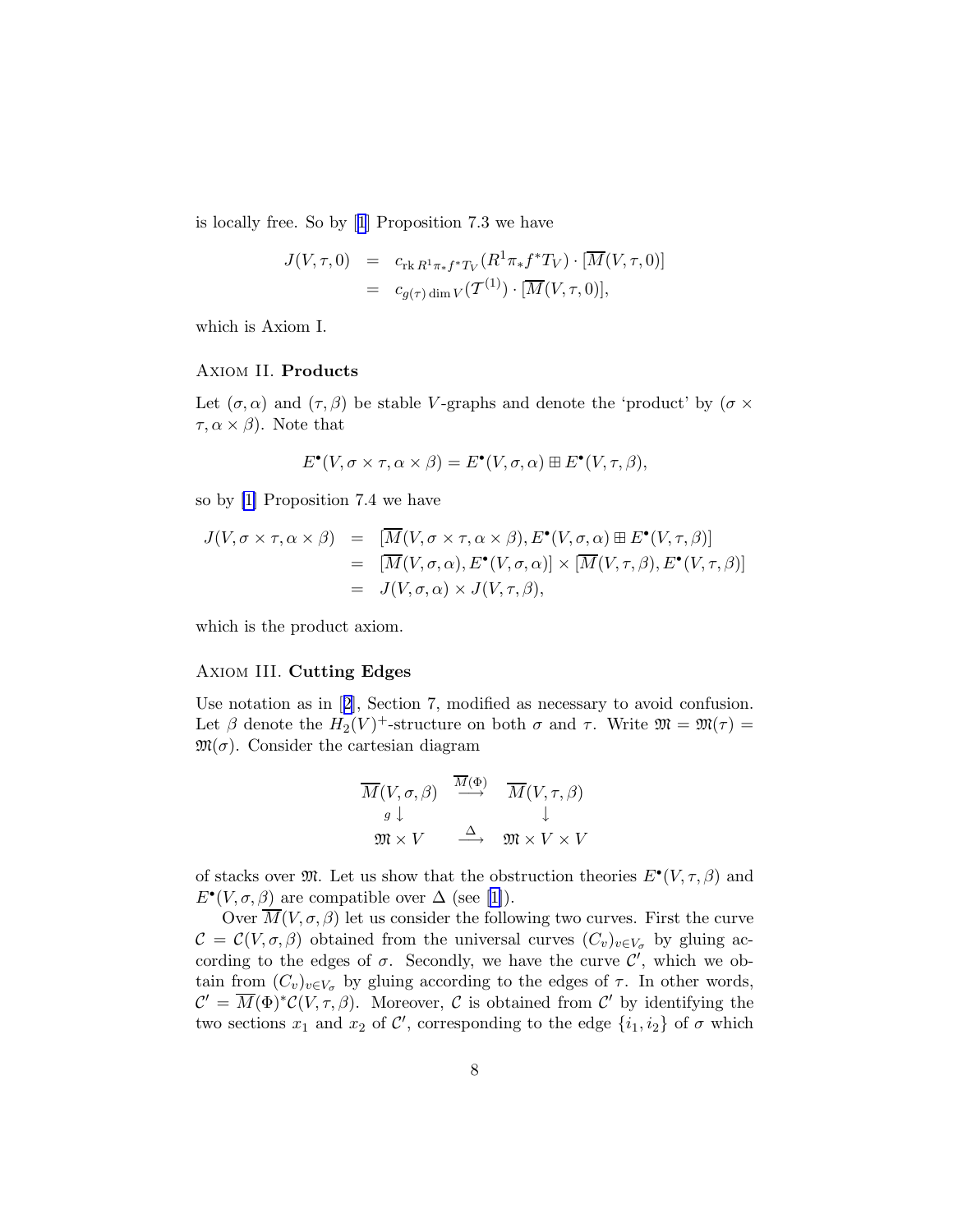is locally free. So by[[1](#page-19-0)] Proposition 7.3 we have

$$
J(V,\tau,0) = c_{\text{rk }R^1\pi_*f^*T_V}(R^1\pi_*f^*T_V) \cdot [\overline{M}(V,\tau,0)]
$$
  
= 
$$
c_{g(\tau)\dim V}(\mathcal{T}^{(1)}) \cdot [\overline{M}(V,\tau,0)],
$$

which is Axiom I.

# Axiom II. Products

Let  $(\sigma, \alpha)$  and  $(\tau, \beta)$  be stable V-graphs and denote the 'product' by  $(\sigma \times$  $\tau, \alpha \times \beta$ ). Note that

$$
E^{\bullet}(V, \sigma \times \tau, \alpha \times \beta) = E^{\bullet}(V, \sigma, \alpha) \boxplus E^{\bullet}(V, \tau, \beta),
$$

so by [\[1\]](#page-19-0) Proposition 7.4 we have

$$
J(V, \sigma \times \tau, \alpha \times \beta) = [\overline{M}(V, \sigma \times \tau, \alpha \times \beta), E^{\bullet}(V, \sigma, \alpha) \boxplus E^{\bullet}(V, \tau, \beta)]
$$
  
= [\overline{M}(V, \sigma, \alpha), E^{\bullet}(V, \sigma, \alpha)] \times [\overline{M}(V, \tau, \beta), E^{\bullet}(V, \tau, \beta)]  
= J(V, \sigma, \alpha) \times J(V, \tau, \beta),

which is the product axiom.

#### Axiom III. Cutting Edges

Use notation as in[[2](#page-19-0)], Section 7, modified as necessary to avoid confusion. Let  $\beta$  denote the  $H_2(V)^+$ -structure on both  $\sigma$  and  $\tau$ . Write  $\mathfrak{M} = \mathfrak{M}(\tau) =$  $\mathfrak{M}(\sigma)$ . Consider the cartesian diagram

$$
\begin{array}{ccc}\n\overline{M}(V, \sigma, \beta) & \xrightarrow{\overline{M}(\Phi)} & \overline{M}(V, \tau, \beta) \\
g \downarrow & & \downarrow \\
\mathfrak{M} \times V & \xrightarrow{\Delta} & \mathfrak{M} \times V \times V\n\end{array}
$$

of stacks over  $\mathfrak{M}$ . Let us show that the obstruction theories  $E^{\bullet}(V, \tau, \beta)$  and  $E^{\bullet}(V, \sigma, \beta)$  are compatible over  $\Delta$  (see [\[1\]](#page-19-0)).

Over  $\overline{M}(V, \sigma, \beta)$  let us consider the following two curves. First the curve  $\mathcal{C} = \mathcal{C}(V, \sigma, \beta)$  obtained from the universal curves  $(C_v)_{v \in V_{\sigma}}$  by gluing according to the edges of  $\sigma$ . Secondly, we have the curve  $\mathcal{C}'$ , which we obtain from  $(C_v)_{v \in V_{\sigma}}$  by gluing according to the edges of  $\tau$ . In other words,  $\mathcal{C}' = \overline{M}(\Phi)^*\mathcal{C}(V,\tau,\beta)$ . Moreover, C is obtained from  $\mathcal{C}'$  by identifying the two sections  $x_1$  and  $x_2$  of  $\mathcal{C}'$ , corresponding to the edge  $\{i_1, i_2\}$  of  $\sigma$  which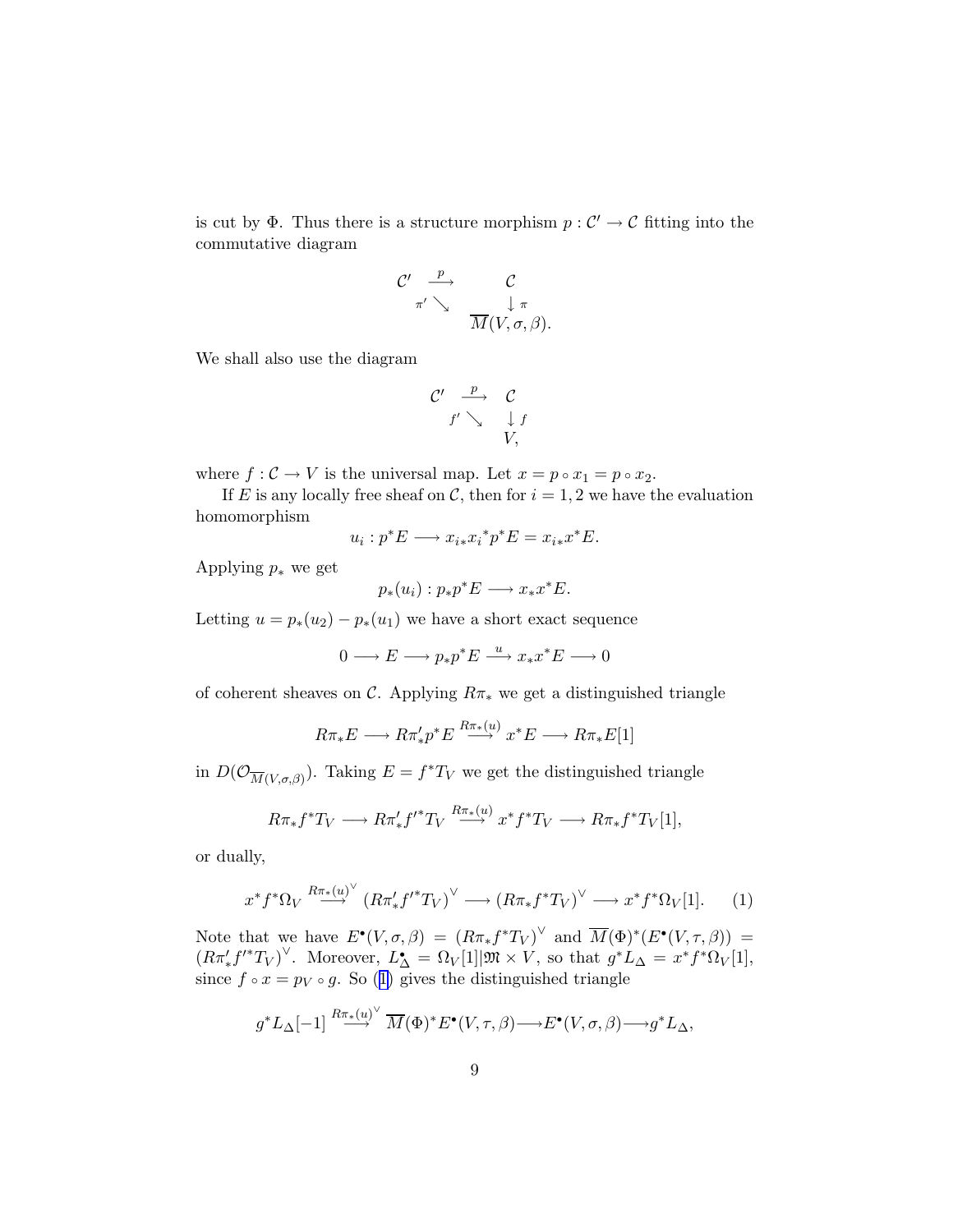is cut by  $\Phi$ . Thus there is a structure morphism  $p: \mathcal{C}' \to \mathcal{C}$  fitting into the commutative diagram

$$
\begin{array}{ccc}\nC' & \xrightarrow{p} & C \\
\pi' & \searrow & \downarrow \pi \\
\hline\nM(V, \sigma, \beta).\n\end{array}
$$

We shall also use the diagram

$$
\begin{array}{ccc}\nC' & \xrightarrow{p} & C \\
f' \searrow & \downarrow f \\
& V,\n\end{array}
$$

where  $f: \mathcal{C} \to V$  is the universal map. Let  $x = p \circ x_1 = p \circ x_2$ .

If E is any locally free sheaf on C, then for  $i = 1, 2$  we have the evaluation homomorphism

$$
u_i: p^*E \longrightarrow x_{i*}x_i^*p^*E = x_{i*}x^*E.
$$

Applying  $p_*$  we get

$$
p_*(u_i): p_*p^*E \longrightarrow x_*x^*E.
$$

Letting  $u = p_*(u_2) - p_*(u_1)$  we have a short exact sequence

 $0 \longrightarrow E \longrightarrow p_* p^* E \stackrel{u}{\longrightarrow} x_* x^* E \longrightarrow 0$ 

of coherent sheaves on  $\mathcal{C}$ . Applying  $R\pi_*$  we get a distinguished triangle

$$
R\pi_*E \longrightarrow R\pi'_*p^*E \stackrel{R\pi_*(u)}{\longrightarrow} x^*E \longrightarrow R\pi_*E[1]
$$

in  $D(\mathcal{O}_{\overline{M}(V,\sigma,\beta)})$ . Taking  $E = f^*T_V$  we get the distinguished triangle

$$
R\pi_*f^*T_V \longrightarrow R\pi'_*f'^*T_V \stackrel{R\pi_*(u)}{\longrightarrow} x^*f^*T_V \longrightarrow R\pi_*f^*T_V[1],
$$

or dually,

$$
x^* f^* \Omega_V \stackrel{R\pi_*(u)^{\vee}}{\longrightarrow} \left( R\pi'_* f'^* T_V \right)^{\vee} \longrightarrow \left( R\pi_* f^* T_V \right)^{\vee} \longrightarrow x^* f^* \Omega_V[1]. \tag{1}
$$

Note that we have  $E^{\bullet}(V, \sigma, \beta) = (R\pi_* f^*T_V)^{\vee}$  and  $\overline{M}(\Phi)^*(E^{\bullet}(V, \tau, \beta)) =$  $(R\pi'_* f'^* T_V)^\vee$ . Moreover,  $L^{\bullet} = \Omega_V[1] \mathfrak{M} \times V$ , so that  $g^* L_\Delta = x^* f^* \Omega_V[1]$ , since  $f \circ x = p_V \circ g$ . So (1) gives the distinguished triangle

$$
g^*L_{\Delta}[-1] \stackrel{R\pi_*(u)^{\vee}}{\longrightarrow} \overline{M}(\Phi)^* E^{\bullet}(V,\tau,\beta) \longrightarrow E^{\bullet}(V,\sigma,\beta) \longrightarrow g^*L_{\Delta},
$$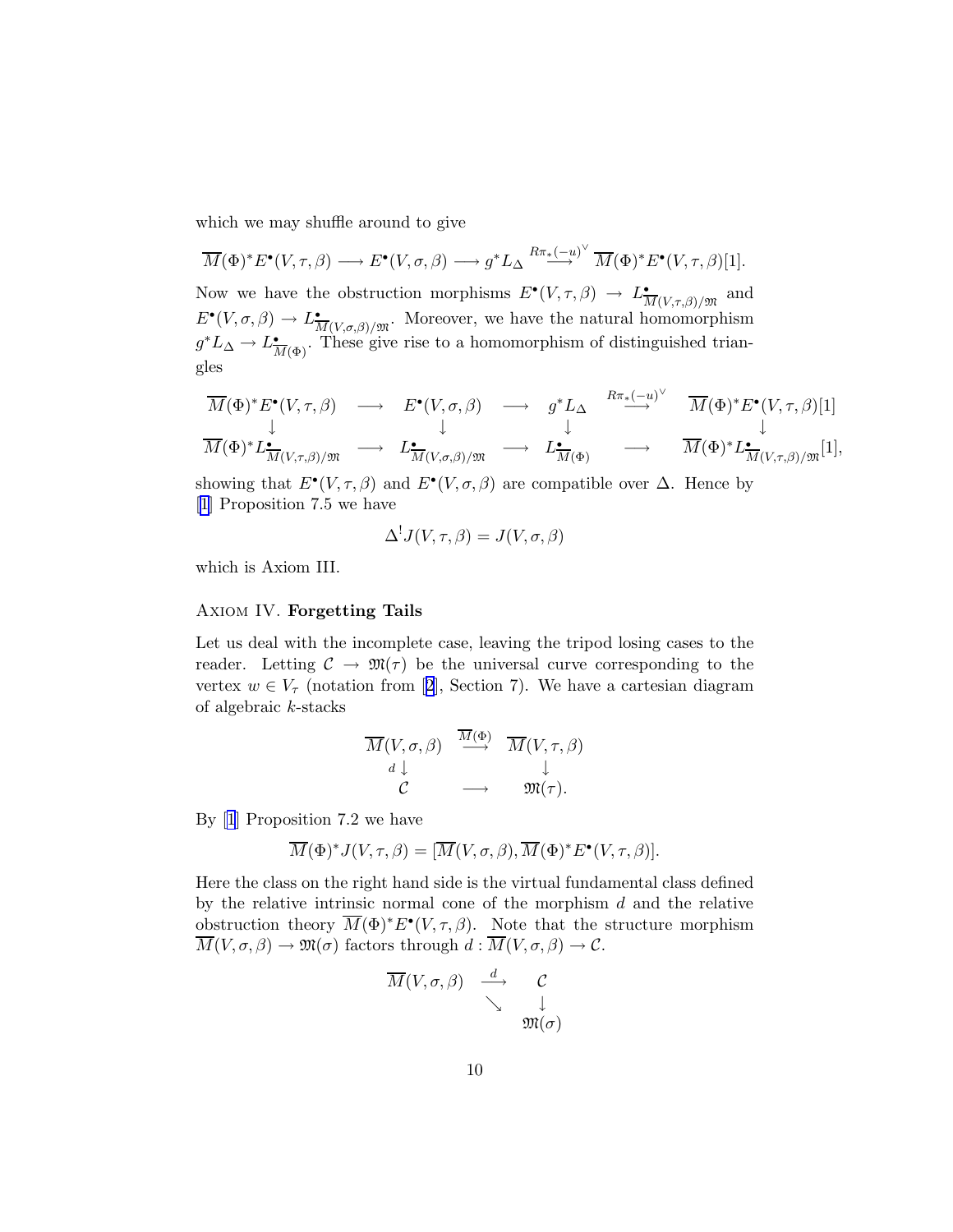which we may shuffle around to give

$$
\overline{M}(\Phi)^* E^{\bullet}(V, \tau, \beta) \longrightarrow E^{\bullet}(V, \sigma, \beta) \longrightarrow g^* L_{\Delta} \stackrel{R\pi_*(-u)^{\vee}}{\longrightarrow} \overline{M}(\Phi)^* E^{\bullet}(V, \tau, \beta)[1].
$$
  
Now we have the obstruction morphisms  $E^{\bullet}(V, \tau, \beta) \longrightarrow L_{\overline{M}(V, \tau, \beta)/\mathfrak{M}}^{\bullet}$  and  $E^{\bullet}(V, \sigma, \beta) \longrightarrow L_{\overline{M}(V, \sigma, \beta)/\mathfrak{M}}^{\bullet}$ . Moreover, we have the natural homomorphism  $g^* L_{\Delta} \longrightarrow L_{\overline{M}(\Phi)}^{\bullet}$ . These give rise to a homomorphism of distinguished triangles

M(Φ)∗E• (V,τ,β) −→ E• (V,σ,β) −→ g <sup>∗</sup>L<sup>∆</sup> Rπ∗(−u) ∨ −→ M(Φ)∗E• (V,τ,β)[1] ↓ ↓ ↓ ↓ M(Φ)∗L • M(V,τ,β)/M −→ L • M(V,σ,β)/M −→ L • <sup>M</sup>(Φ) −→ <sup>M</sup>(Φ)∗<sup>L</sup> • M(V,τ,β)/M [1],

showing that  $E^{\bullet}(V, \tau, \beta)$  and  $E^{\bullet}(V, \sigma, \beta)$  are compatible over  $\Delta$ . Hence by [[1](#page-19-0)] Proposition 7.5 we have

$$
\Delta^! J(V,\tau,\beta) = J(V,\sigma,\beta)
$$

which is Axiom III.

# Axiom IV. Forgetting Tails

Let us deal with the incomplete case, leaving the tripod losing cases to the reader. Letting  $\mathcal{C} \to \mathfrak{M}(\tau)$  be the universal curve corresponding to the vertex $w \in V_{\tau}$  (notation from [[2](#page-19-0)], Section 7). We have a cartesian diagram of algebraic k-stacks

$$
\begin{array}{ccc}\n\overline{M}(V,\sigma,\beta) & \xrightarrow{\overline{M}(\Phi)} & \overline{M}(V,\tau,\beta) \\
d & \downarrow & & \downarrow \\
C & \longrightarrow & \mathfrak{M}(\tau).\n\end{array}
$$

By[[1](#page-19-0)] Proposition 7.2 we have

$$
\overline{M}(\Phi)^* J(V,\tau,\beta) = [\overline{M}(V,\sigma,\beta), \overline{M}(\Phi)^* E^{\bullet}(V,\tau,\beta)].
$$

Here the class on the right hand side is the virtual fundamental class defined by the relative intrinsic normal cone of the morphism  $d$  and the relative obstruction theory  $\overline{M}(\Phi)^* E^{\bullet}(V, \tau, \beta)$ . Note that the structure morphism  $\overline{M}(V, \sigma, \beta) \to \mathfrak{M}(\sigma)$  factors through  $d : \overline{M}(V, \sigma, \beta) \to \mathcal{C}$ .

$$
\begin{array}{ccc}\n\overline{M}(V,\sigma,\beta)&\stackrel{d}{\longrightarrow}&\mathcal{C} \\
&\searrow&\downarrow\\ &\mathfrak{M}(\sigma)\end{array}
$$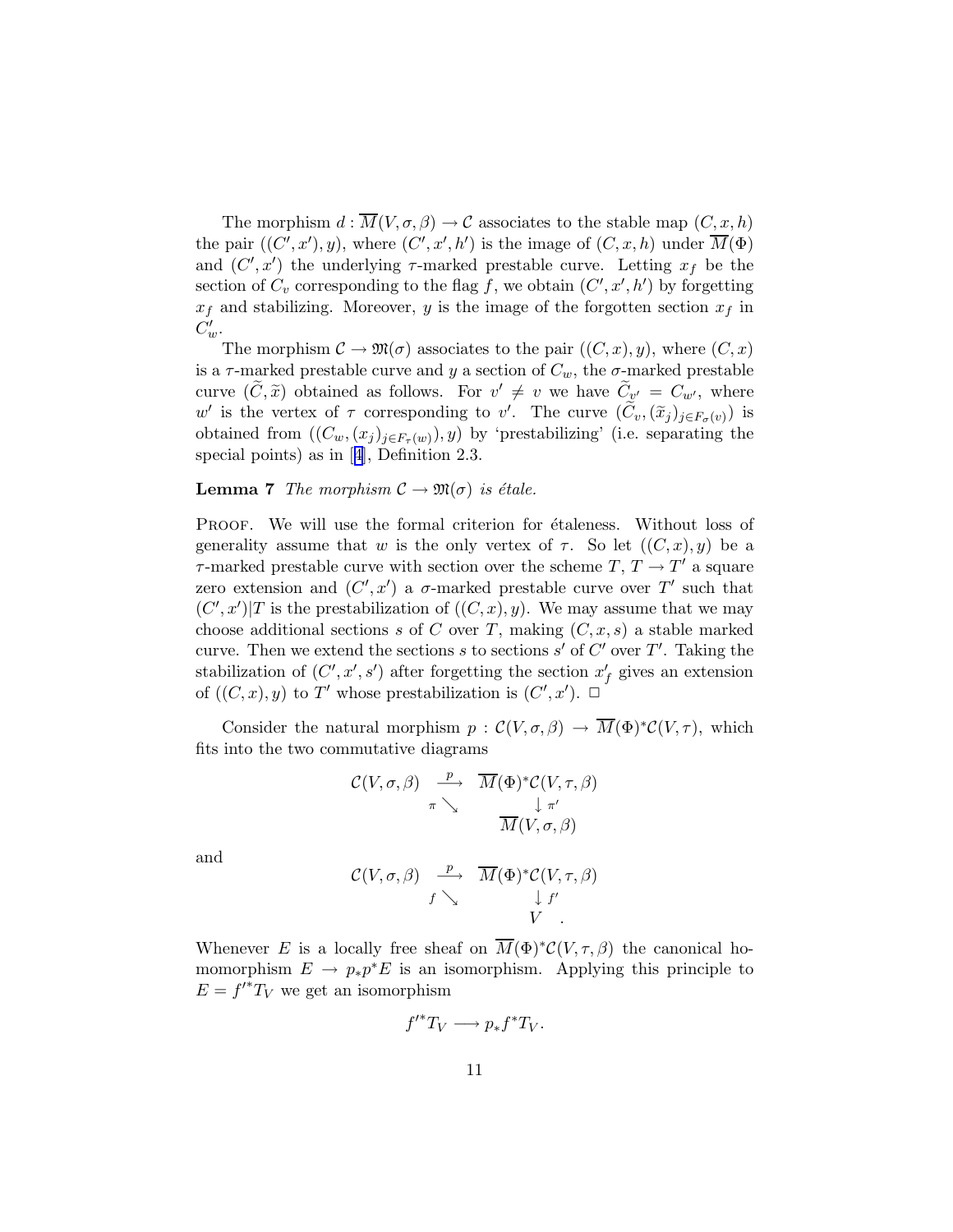<span id="page-10-0"></span>The morphism  $d : \overline{M}(V, \sigma, \beta) \to \mathcal{C}$  associates to the stable map  $(C, x, h)$ the pair  $((C', x'), y)$ , where  $(C', x', h')$  is the image of  $(C, x, h)$  under  $\overline{M}(\Phi)$ and  $(C', x')$  the underlying  $\tau$ -marked prestable curve. Letting  $x_f$  be the section of  $C_v$  corresponding to the flag f, we obtain  $(C', x', h')$  by forgetting  $x_f$  and stabilizing. Moreover, y is the image of the forgotten section  $x_f$  in  $C'_w$ .

The morphism  $\mathcal{C} \to \mathfrak{M}(\sigma)$  associates to the pair  $((C,x),y)$ , where  $(C,x)$ is a  $\tau$ -marked prestable curve and y a section of  $C_w$ , the  $\sigma$ -marked prestable curve  $(\tilde{C}, \tilde{x})$  obtained as follows. For  $v' \neq v$  we have  $\tilde{C}_{v'} = C_{w'}$ , where w' is the vertex of  $\tau$  corresponding to v'. The curve  $(\widetilde{C}_v,(\widetilde{x}_j)_{j\in F_{\sigma}(v)})$  is obtained from  $((C_w, (x_j)_{j\in F_\tau(w)}), y)$  by 'prestabilizing' (i.e. separating the special points) as in[[4\]](#page-19-0), Definition 2.3.

**Lemma 7** The morphism  $\mathcal{C} \to \mathfrak{M}(\sigma)$  is étale.

PROOF. We will use the formal criterion for  $\acute{e}t$  taleness. Without loss of generality assume that w is the only vertex of  $\tau$ . So let  $((C, x), y)$  be a  $\tau$ -marked prestable curve with section over the scheme  $T, T \to T'$  a square zero extension and  $(C', x')$  a  $\sigma$ -marked prestable curve over T' such that  $(C', x')$  is the prestabilization of  $((C, x), y)$ . We may assume that we may choose additional sections s of C over T, making  $(C, x, s)$  a stable marked curve. Then we extend the sections s to sections s' of  $C'$  over T'. Taking the stabilization of  $(C', x', s')$  after forgetting the section  $x'_{f}$  gives an extension of  $((C, x), y)$  to T' whose prestabilization is  $(C', x')$ .  $\Box$ 

Consider the natural morphism  $p : \mathcal{C}(V, \sigma, \beta) \to \overline{M}(\Phi)^* \mathcal{C}(V, \tau)$ , which fits into the two commutative diagrams

$$
\mathcal{C}(V,\sigma,\beta) \xrightarrow[\pi]{p} \overline{M}(\Phi)^* \mathcal{C}(V,\tau,\beta) \pi \searrow \frac{\downarrow \pi'}{\overline{M}(V,\sigma,\beta)}
$$

and

$$
\mathcal{C}(V,\sigma,\beta) \xrightarrow{p} \overline{M}(\Phi)^* \mathcal{C}(V,\tau,\beta) \n\downarrow f' \nV
$$

Whenever E is a locally free sheaf on  $\overline{M}(\Phi)^* C(V,\tau,\beta)$  the canonical homomorphism  $E \to p_*p^*E$  is an isomorphism. Applying this principle to  $E = f'^*T_V$  we get an isomorphism

$$
f'^*T_V \longrightarrow p_*f^*T_V.
$$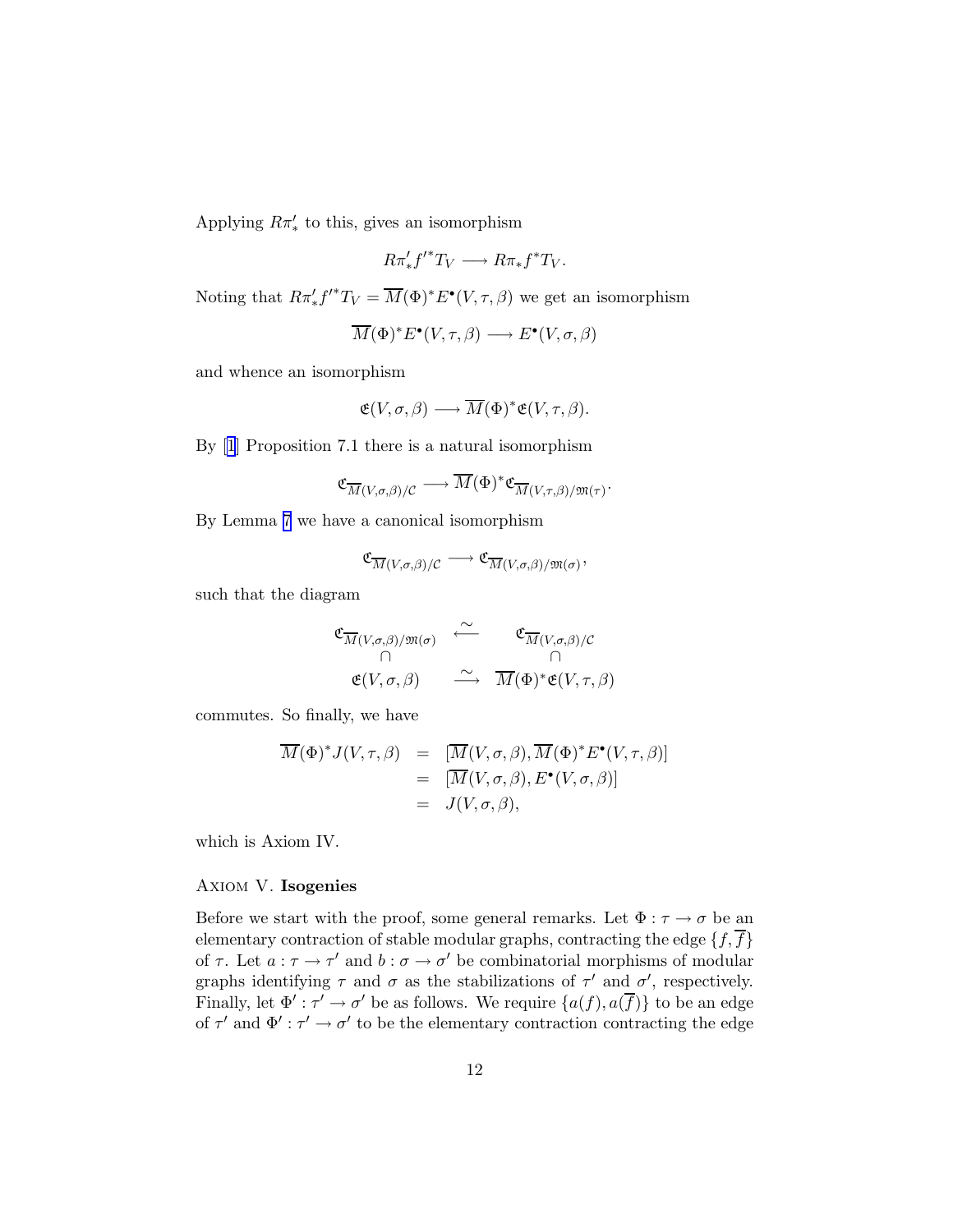Applying  $R\pi'_{*}$  to this, gives an isomorphism

$$
R\pi'_*f'^*T_V \longrightarrow R\pi_*f^*T_V.
$$

Noting that  $R\pi'_*f'^*T_V = \overline{M}(\Phi)^*E^{\bullet}(V,\tau,\beta)$  we get an isomorphism

$$
\overline{M}(\Phi)^* E^{\bullet}(V, \tau, \beta) \longrightarrow E^{\bullet}(V, \sigma, \beta)
$$

and whence an isomorphism

$$
\mathfrak{E}(V,\sigma,\beta)\longrightarrow \overline{M}(\Phi)^*\mathfrak{E}(V,\tau,\beta).
$$

By[[1](#page-19-0)] Proposition 7.1 there is a natural isomorphism

$$
\mathfrak{C}_{\overline{M}(V,\sigma,\beta)/\mathcal{C}} \longrightarrow \overline{M}(\Phi)^* \mathfrak{C}_{\overline{M}(V,\tau,\beta)/\mathfrak{M}(\tau)}.
$$

By Lemma [7](#page-10-0) we have a canonical isomorphism

$$
\mathfrak{C}_{\overline{M}(V,\sigma,\beta)/\mathcal{C}} \longrightarrow \mathfrak{C}_{\overline{M}(V,\sigma,\beta)/\mathfrak{M}(\sigma)},
$$

such that the diagram

$$
\begin{array}{ccc}\n\mathfrak{C}_{\overline{M}(V,\sigma,\beta)/\mathfrak{M}(\sigma)} & \stackrel{\sim}{\longleftarrow} & \mathfrak{C}_{\overline{M}(V,\sigma,\beta)/\mathcal{C}} \\
\cap & \cap & \cap \\
\mathfrak{E}(V,\sigma,\beta) & \stackrel{\sim}{\longrightarrow} & \overline{M}(\Phi)^{*}\mathfrak{E}(V,\tau,\beta)\n\end{array}
$$

commutes. So finally, we have

$$
\overline{M}(\Phi)^* J(V, \tau, \beta) = [\overline{M}(V, \sigma, \beta), \overline{M}(\Phi)^* E^{\bullet}(V, \tau, \beta)]
$$
  
= [\overline{M}(V, \sigma, \beta), E^{\bullet}(V, \sigma, \beta)]  
= J(V, \sigma, \beta),

which is Axiom IV.

# Axiom V. Isogenies

Before we start with the proof, some general remarks. Let  $\Phi : \tau \to \sigma$  be an elementary contraction of stable modular graphs, contracting the edge  $\{f,\overline{f}\}$ of  $\tau$ . Let  $a: \tau \to \tau'$  and  $b: \sigma \to \sigma'$  be combinatorial morphisms of modular graphs identifying  $\tau$  and  $\sigma$  as the stabilizations of  $\tau'$  and  $\sigma'$ , respectively. Finally, let  $\Phi' : \tau' \to \sigma'$  be as follows. We require  $\{a(f), a(\overline{f})\}$  to be an edge of  $\tau'$  and  $\Phi' : \tau' \to \sigma'$  to be the elementary contraction contracting the edge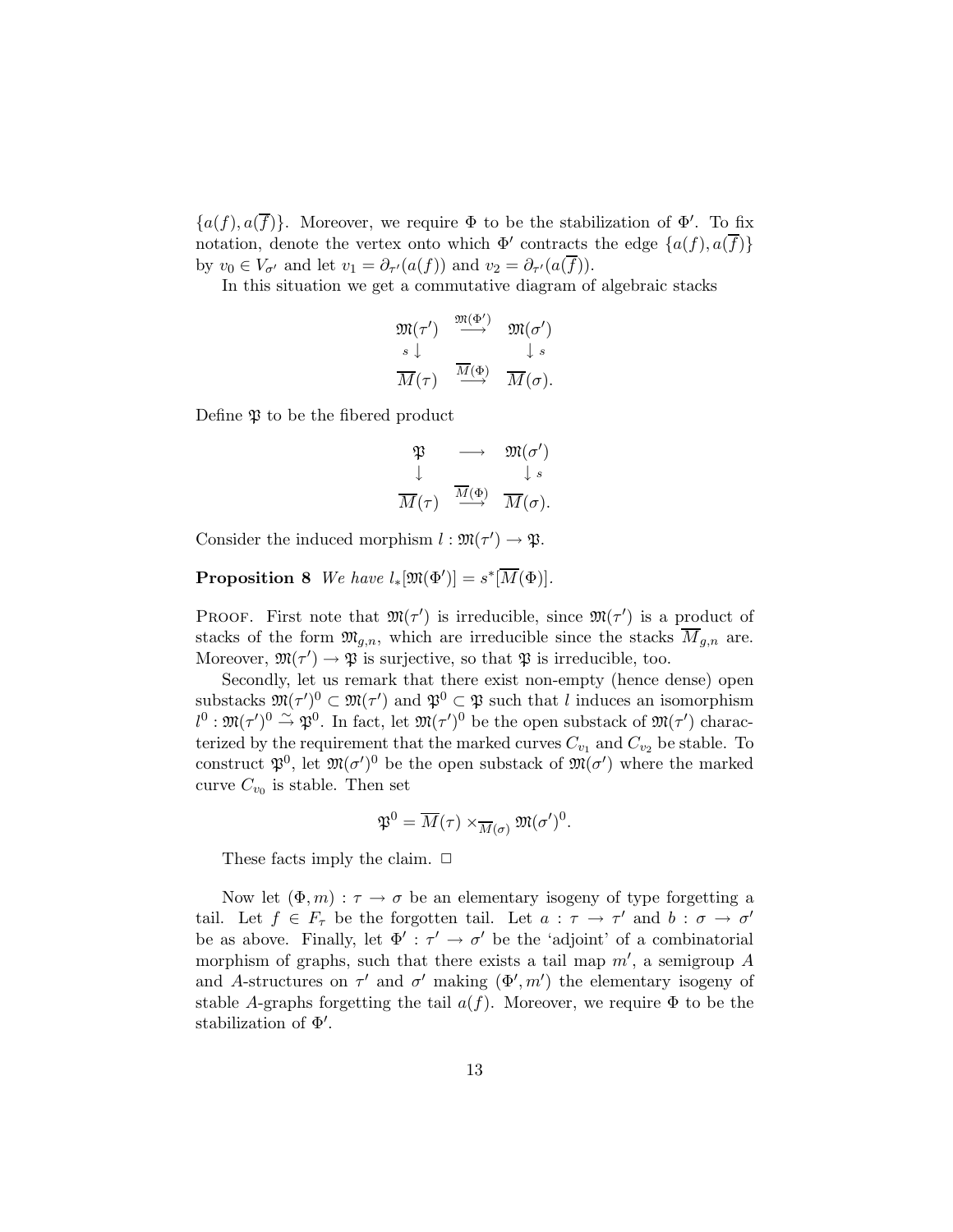<span id="page-12-0"></span> ${a(f), a(\overline{f})}.$  Moreover, we require  $\Phi$  to be the stabilization of  $\Phi'$ . To fix notation, denote the vertex onto which  $\Phi'$  contracts the edge  $\{a(f), a(\overline{f})\}$ by  $v_0 \in V_{\sigma'}$  and let  $v_1 = \partial_{\tau'}(a(f))$  and  $v_2 = \partial_{\tau'}(a(f))$ .

In this situation we get a commutative diagram of algebraic stacks

$$
\begin{array}{ccc}\n\mathfrak{M}(\tau') & \xrightarrow{\mathfrak{M}(\Phi')} & \mathfrak{M}(\sigma') \\
\downarrow s & & \downarrow s \\
\hline\nM(\tau) & \xrightarrow{\overline{M}(\Phi)} & \overline{M}(\sigma).\n\end{array}
$$

Define  $\mathfrak P$  to be the fibered product

$$
\begin{array}{rcl}\mathfrak{P} & \longrightarrow & \mathfrak{M}(\sigma')\\ \downarrow & & \downarrow s \\ \overline{M}(\tau) & \stackrel{\overline{M}(\Phi)}{\longrightarrow} & \overline{M}(\sigma). \end{array}
$$

Consider the induced morphism  $l : \mathfrak{M}(\tau') \to \mathfrak{P}$ .

**Proposition 8** We have  $l_*[\mathfrak{M}(\Phi')] = s^*[\overline{M}(\Phi)].$ 

PROOF. First note that  $\mathfrak{M}(\tau')$  is irreducible, since  $\mathfrak{M}(\tau')$  is a product of stacks of the form  $\mathfrak{M}_{q,n}$ , which are irreducible since the stacks  $\overline{M}_{q,n}$  are. Moreover,  $\mathfrak{M}(\tau') \to \mathfrak{P}$  is surjective, so that  $\mathfrak{P}$  is irreducible, too.

Secondly, let us remark that there exist non-empty (hence dense) open substacks  $\mathfrak{M}(\tau')^0 \subset \mathfrak{M}(\tau')$  and  $\mathfrak{P}^0 \subset \mathfrak{P}$  such that l induces an isomorphism  $l^0: \mathfrak{M}(\tau')^0 \stackrel{\sim}{\rightarrow} \mathfrak{P}^0$ . In fact, let  $\mathfrak{M}(\tau')^0$  be the open substack of  $\mathfrak{M}(\tau')$  characterized by the requirement that the marked curves  $C_{v_1}$  and  $C_{v_2}$  be stable. To construct  $\mathfrak{P}^0$ , let  $\mathfrak{M}(\sigma')^0$  be the open substack of  $\mathfrak{M}(\sigma')$  where the marked curve  $C_{v_0}$  is stable. Then set

$$
\mathfrak{P}^0 = \overline{M}(\tau) \times_{\overline{M}(\sigma)} \mathfrak{M}(\sigma')^0.
$$

These facts imply the claim.  $\Box$ 

Now let  $(\Phi, m) : \tau \to \sigma$  be an elementary isogeny of type forgetting a tail. Let  $f \in F_{\tau}$  be the forgotten tail. Let  $a : \tau \to \tau'$  and  $b : \sigma \to \sigma'$ be as above. Finally, let  $\Phi' : \tau' \to \sigma'$  be the 'adjoint' of a combinatorial morphism of graphs, such that there exists a tail map  $m'$ , a semigroup  $A$ and A-structures on  $\tau'$  and  $\sigma'$  making  $(\Phi', m')$  the elementary isogeny of stable A-graphs forgetting the tail  $a(f)$ . Moreover, we require  $\Phi$  to be the stabilization of Φ′ .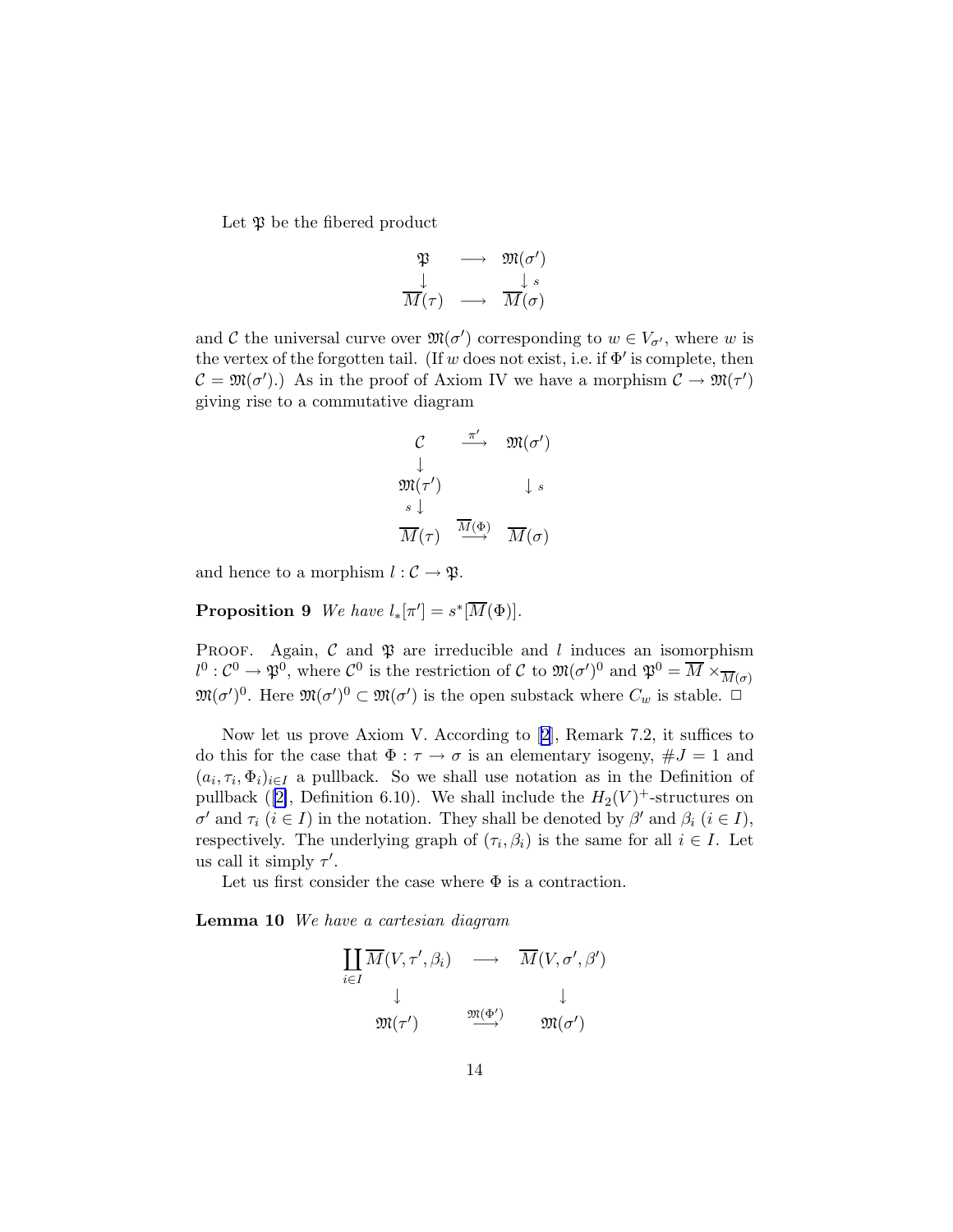<span id="page-13-0"></span>Let  $\mathfrak P$  be the fibered product

$$
\begin{array}{rcl}\mathfrak{P} & \longrightarrow & \mathfrak{M}(\sigma')\\ \downarrow & & \downarrow s\\ \overline{M}(\tau) & \longrightarrow & \overline{M}(\sigma)\end{array}
$$

and C the universal curve over  $\mathfrak{M}(\sigma')$  corresponding to  $w \in V_{\sigma'}$ , where w is the vertex of the forgotten tail. (If w does not exist, i.e. if  $\Phi'$  is complete, then  $\mathcal{C} = \mathfrak{M}(\sigma')$ .) As in the proof of Axiom IV we have a morphism  $\mathcal{C} \to \mathfrak{M}(\tau')$ giving rise to a commutative diagram

$$
\begin{array}{ccc}\nC & \xrightarrow{\pi'} & \mathfrak{M}(\sigma')\\
\downarrow & & \\
\mathfrak{M}(\tau') & & \downarrow s\\
\hline\n\overline{M}(\tau) & \xrightarrow{\overline{M}(\Phi)} & \overline{M}(\sigma)\n\end{array}
$$

and hence to a morphism  $l : \mathcal{C} \to \mathfrak{P}$ .

**Proposition 9** We have  $l_*[\pi'] = s^*[\overline{M}(\Phi)].$ 

PROOF. Again,  $\mathcal C$  and  $\mathfrak P$  are irreducible and l induces an isomorphism  $l^0: C^0 \to \mathfrak{P}^0$ , where  $C^0$  is the restriction of C to  $\mathfrak{M}(\sigma')^0$  and  $\mathfrak{P}^0 = \overline{M} \times_{\overline{M}(\sigma)} M$  $\mathfrak{M}(\sigma')^0$ . Here  $\mathfrak{M}(\sigma')^0 \subset \mathfrak{M}(\sigma')$  is the open substack where  $C_w$  is stable.  $\Box$ 

Now let us prove Axiom V. According to[[2](#page-19-0)], Remark 7.2, it suffices to do this for the case that  $\Phi : \tau \to \sigma$  is an elementary isogeny,  $\#J = 1$  and  $(a_i, \tau_i, \Phi_i)_{i \in I}$  a pullback. So we shall use notation as in the Definition of pullback ([\[2\]](#page-19-0), Definition 6.10). We shall include the  $H_2(V)^+$ -structures on  $\sigma'$  and  $\tau_i$   $(i \in I)$  in the notation. They shall be denoted by  $\beta'$  and  $\beta_i$   $(i \in I)$ , respectively. The underlying graph of  $(\tau_i, \beta_i)$  is the same for all  $i \in I$ . Let us call it simply  $\tau'$ .

Let us first consider the case where  $\Phi$  is a contraction.

Lemma 10 We have a cartesian diagram

$$
\begin{array}{ccc}\n\prod \overline{M}(V, \tau', \beta_i) & \longrightarrow & \overline{M}(V, \sigma', \beta') \\
\downarrow & & \downarrow \\
\mathfrak{M}(\tau') & \stackrel{\mathfrak{M}(\Phi')}{\longrightarrow} & \mathfrak{M}(\sigma')\n\end{array}
$$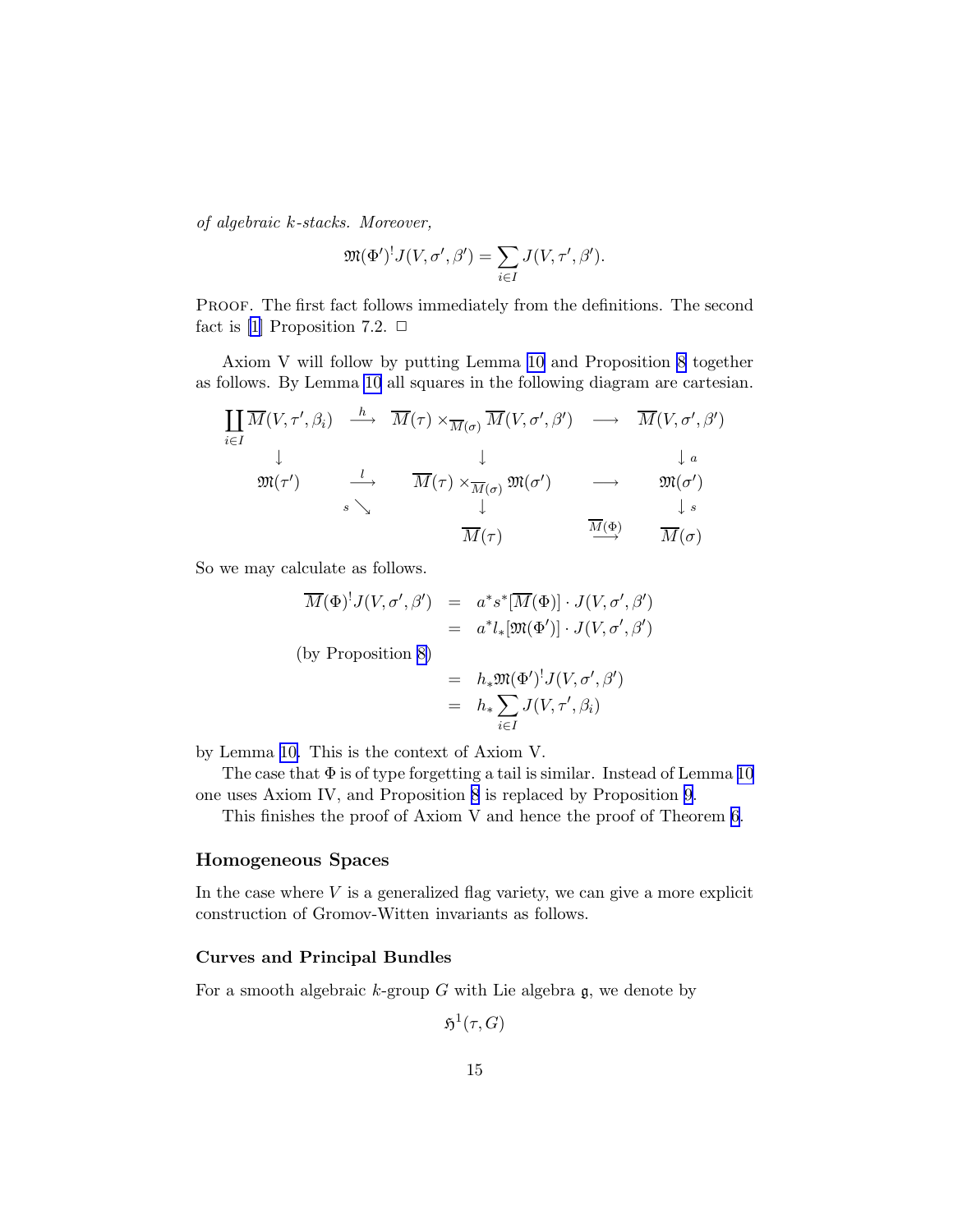of algebraic k-stacks. Moreover,

$$
\mathfrak{M}(\Phi')^! J(V,\sigma',\beta') = \sum_{i \in I} J(V,\tau',\beta').
$$

PROOF. The first fact follows immediately from the definitions. The second fact is [\[1\]](#page-19-0) Proposition 7.2.  $\Box$ 

Axiom V will follow by putting Lemma [10](#page-13-0) and Proposition [8](#page-12-0) together as follows. By Lemma [10](#page-13-0) all squares in the following diagram are cartesian.

$$
\begin{array}{ccc}\n\prod_{i\in I} \overline{M}(V,\tau',\beta_i) & \xrightarrow{h} & \overline{M}(\tau) \times_{\overline{M}(\sigma)} \overline{M}(V,\sigma',\beta') & \longrightarrow & \overline{M}(V,\sigma',\beta') \\
\downarrow & & \downarrow & & \downarrow a \\
\mathfrak{M}(\tau') & \xrightarrow{l} & \overline{M}(\tau) \times_{\overline{M}(\sigma)} \mathfrak{M}(\sigma') & \longrightarrow & \mathfrak{M}(\sigma') \\
& & & \downarrow s & \downarrow \\
& & & \overline{M}(\tau) & \xrightarrow{\overline{M}(\Phi)} & \overline{M}(\sigma)\n\end{array}
$$

So we may calculate as follows.

$$
\overline{M}(\Phi)^! J(V, \sigma', \beta') = a^* s^* [\overline{M}(\Phi)] \cdot J(V, \sigma', \beta')
$$
  
=  $a^* l_* [\mathfrak{M}(\Phi')] \cdot J(V, \sigma', \beta')$ 

(by Proposition [8\)](#page-12-0)

$$
= h_* \mathfrak{M}(\Phi')^! J(V, \sigma', \beta')
$$
  

$$
= h_* \sum_{i \in I} J(V, \tau', \beta_i)
$$

by Lemma [10.](#page-13-0) This is the context of Axiom V.

The case that  $\Phi$  is of type forgetting a tail is similar. Instead of Lemma [10](#page-13-0) one uses Axiom IV, and Proposition [8](#page-12-0) is replaced by Proposition [9](#page-13-0).

This finishes the proof of Axiom V and hence the proof of Theorem [6](#page-6-0).

# Homogeneous Spaces

In the case where  $V$  is a generalized flag variety, we can give a more explicit construction of Gromov-Witten invariants as follows.

# Curves and Principal Bundles

For a smooth algebraic  $k$ -group  $G$  with Lie algebra  $\mathfrak{g}$ , we denote by

$$
\mathfrak{H}^1(\tau,G)
$$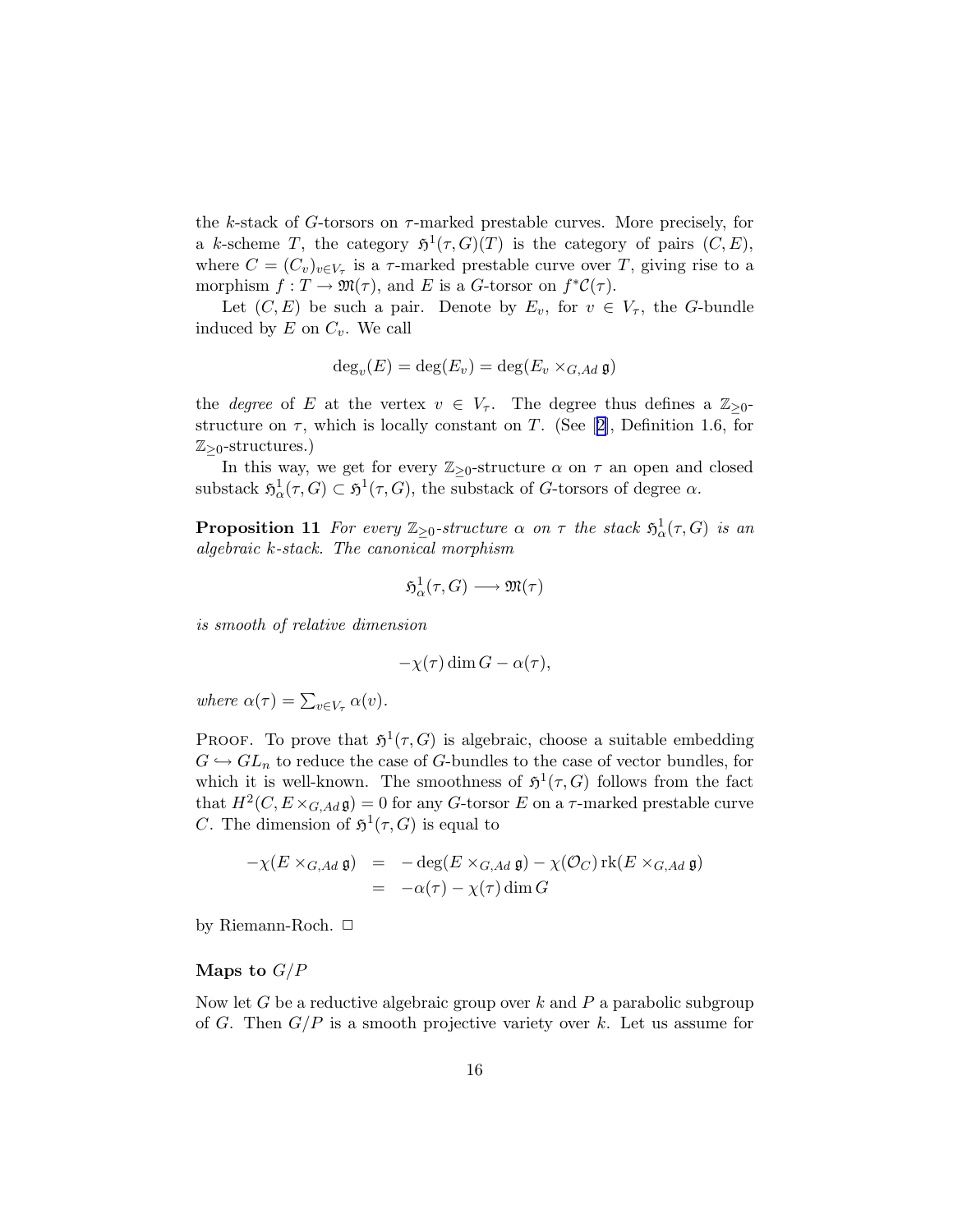<span id="page-15-0"></span>the k-stack of G-torsors on  $\tau$ -marked prestable curves. More precisely, for a k-scheme T, the category  $\mathfrak{H}^1(\tau,G)(T)$  is the category of pairs  $(C, E)$ , where  $C = (C_v)_{v \in V_\tau}$  is a  $\tau$ -marked prestable curve over T, giving rise to a morphism  $f: T \to \mathfrak{M}(\tau)$ , and E is a G-torsor on  $f^*C(\tau)$ .

Let  $(C, E)$  be such a pair. Denote by  $E_v$ , for  $v \in V_\tau$ , the G-bundle induced by  $E$  on  $C_v$ . We call

$$
\deg_v(E) = \deg(E_v) = \deg(E_v \times_{G,Ad} \mathfrak{g})
$$

the *degree* of E at the vertex  $v \in V_\tau$ . The degree thus defines a  $\mathbb{Z}_{\geq 0}$ structureon  $\tau$ , which is locally constant on T. (See [[2\]](#page-19-0), Definition 1.6, for  $\mathbb{Z}_{\geq 0}$ -structures.)

In this way, we get for every  $\mathbb{Z}_{\geq 0}$ -structure  $\alpha$  on  $\tau$  an open and closed substack  $\mathfrak{H}^1_{\alpha}(\tau,G) \subset \mathfrak{H}^1(\tau,G)$ , the substack of G-torsors of degree  $\alpha$ .

**Proposition 11** For every  $\mathbb{Z}_{\geq 0}$ -structure  $\alpha$  on  $\tau$  the stack  $\mathfrak{H}^1_\alpha(\tau, G)$  is an algebraic k-stack. The canonical morphism

$$
\mathfrak{H}^1_\alpha(\tau, G) \longrightarrow \mathfrak{M}(\tau)
$$

is smooth of relative dimension

$$
-\chi(\tau)\dim G - \alpha(\tau),
$$

where  $\alpha(\tau) = \sum_{v \in V_{\tau}} \alpha(v)$ .

**PROOF.** To prove that  $\mathfrak{H}^1(\tau, G)$  is algebraic, choose a suitable embedding  $G \hookrightarrow GL_n$  to reduce the case of G-bundles to the case of vector bundles, for which it is well-known. The smoothness of  $\mathfrak{H}^1(\tau,G)$  follows from the fact that  $H^2(C, E \times_{G, Ad} \mathfrak{g}) = 0$  for any G-torsor E on a  $\tau$ -marked prestable curve C. The dimension of  $\mathfrak{H}^1(\tau, G)$  is equal to

$$
-\chi(E \times_{G,Ad} \mathfrak{g}) = -\deg(E \times_{G,Ad} \mathfrak{g}) - \chi(\mathcal{O}_C) \operatorname{rk}(E \times_{G,Ad} \mathfrak{g})
$$
  
= -\alpha(\tau) - \chi(\tau) \dim G

by Riemann-Roch.  $\Box$ 

# Maps to  $G/P$

Now let G be a reductive algebraic group over  $k$  and  $P$  a parabolic subgroup of G. Then  $G/P$  is a smooth projective variety over k. Let us assume for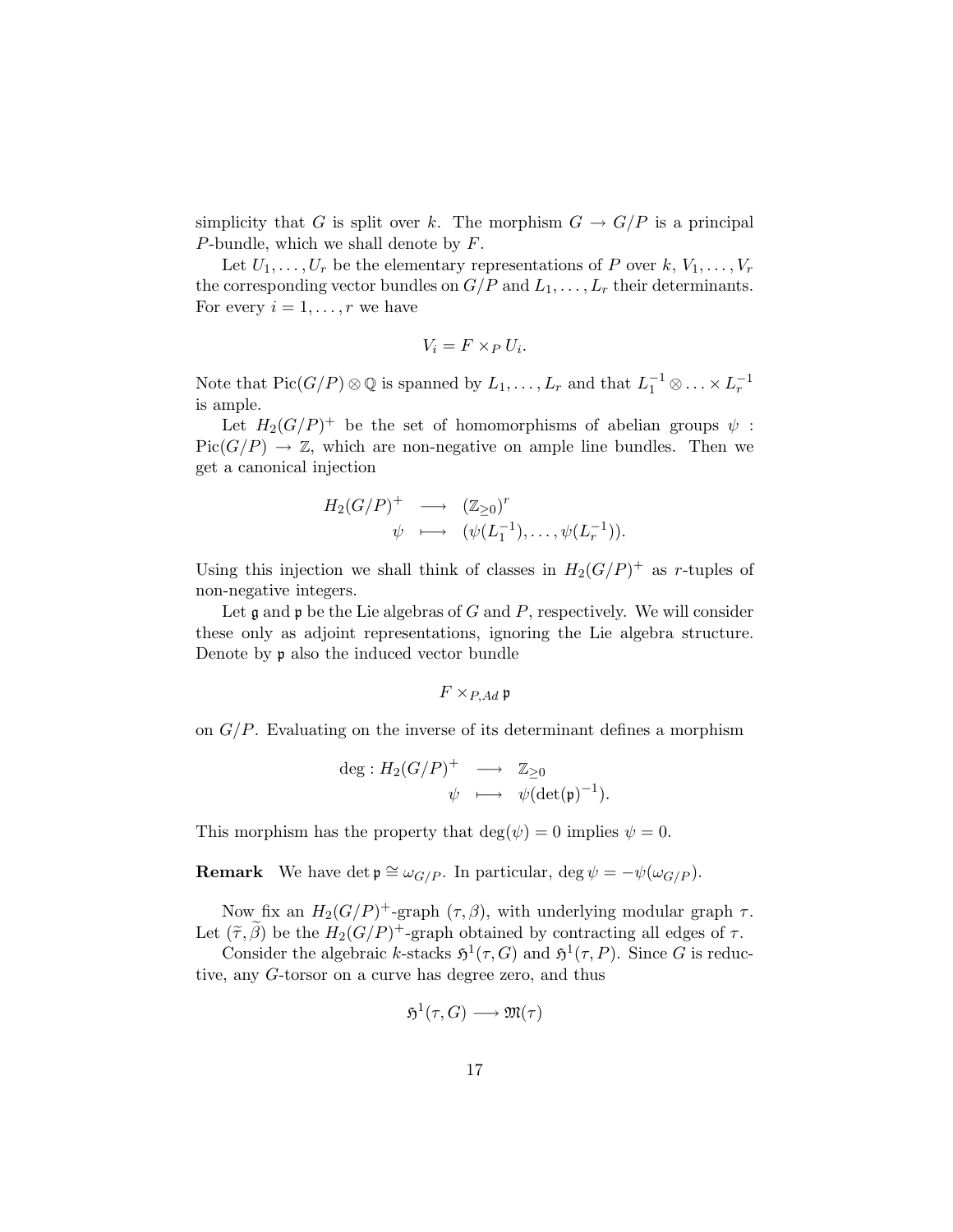simplicity that G is split over k. The morphism  $G \to G/P$  is a principal P-bundle, which we shall denote by  $F$ .

Let  $U_1, \ldots, U_r$  be the elementary representations of P over  $k, V_1, \ldots, V_r$ the corresponding vector bundles on  $G/P$  and  $L_1, \ldots, L_r$  their determinants. For every  $i = 1, \ldots, r$  we have

$$
V_i = F \times_P U_i.
$$

Note that  $Pic(G/P) \otimes \mathbb{Q}$  is spanned by  $L_1, \ldots, L_r$  and that  $L_1^{-1} \otimes \ldots \times L_r^{-1}$ is ample.

Let  $H_2(G/P)^+$  be the set of homomorphisms of abelian groups  $\psi$ :  $Pic(G/P) \to \mathbb{Z}$ , which are non-negative on ample line bundles. Then we get a canonical injection

$$
H_2(G/P)^+ \longrightarrow (\mathbb{Z}_{\geq 0})^r
$$
  

$$
\psi \longmapsto (\psi(L_1^{-1}), \dots, \psi(L_r^{-1})).
$$

Using this injection we shall think of classes in  $H_2(G/P)^+$  as r-tuples of non-negative integers.

Let  $\mathfrak g$  and  $\mathfrak p$  be the Lie algebras of G and P, respectively. We will consider these only as adjoint representations, ignoring the Lie algebra structure. Denote by p also the induced vector bundle

$$
F\times_{P,Ad}\mathfrak{p}
$$

on  $G/P$ . Evaluating on the inverse of its determinant defines a morphism

$$
\begin{array}{rcl}\n\deg: H_2(G/P)^+ & \longrightarrow & \mathbb{Z}_{\geq 0} \\
\psi & \longmapsto & \psi(\det(\mathfrak{p})^{-1}).\n\end{array}
$$

This morphism has the property that  $\deg(\psi) = 0$  implies  $\psi = 0$ .

**Remark** We have det  $\mathfrak{p} \cong \omega_{G/P}$ . In particular, deg  $\psi = -\psi(\omega_{G/P})$ .

Now fix an  $H_2(G/P)^+$ -graph  $(\tau, \beta)$ , with underlying modular graph  $\tau$ . Let  $(\tilde{\tau}, \tilde{\beta})$  be the  $H_2(G/P)^+$ -graph obtained by contracting all edges of  $\tau$ .

Consider the algebraic k-stacks  $\mathfrak{H}^1(\tau, G)$  and  $\mathfrak{H}^1(\tau, P)$ . Since G is reductive, any G-torsor on a curve has degree zero, and thus

$$
\mathfrak{H}^1(\tau, G) \longrightarrow \mathfrak{M}(\tau)
$$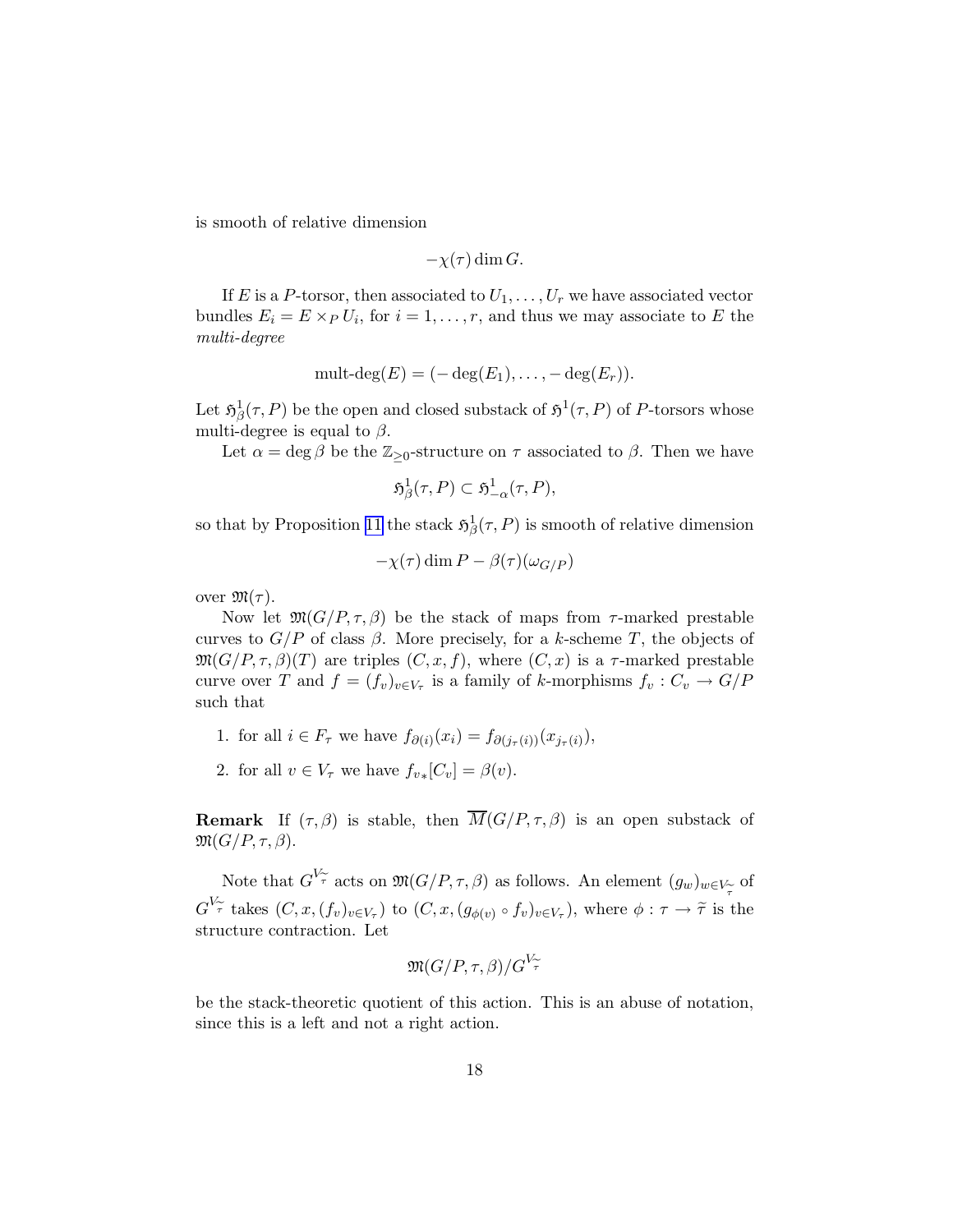is smooth of relative dimension

$$
-\chi(\tau)\dim G.
$$

If E is a P-torsor, then associated to  $U_1, \ldots, U_r$  we have associated vector bundles  $E_i = E \times_P U_i$ , for  $i = 1, \ldots, r$ , and thus we may associate to E the multi-degree

$$
\operatorname{mult-deg}(E) = (-\deg(E_1), \ldots, -\deg(E_r)).
$$

Let  $\mathfrak{H}^1_\beta(\tau,P)$  be the open and closed substack of  $\mathfrak{H}^1(\tau,P)$  of P-torsors whose multi-degree is equal to  $\beta$ .

Let  $\alpha = \deg \beta$  be the  $\mathbb{Z}_{\geq 0}$ -structure on  $\tau$  associated to  $\beta$ . Then we have

$$
\mathfrak{H}^1_{\beta}(\tau,P) \subset \mathfrak{H}^1_{-\alpha}(\tau,P),
$$

so that by Proposition [11](#page-15-0) the stack  $\mathfrak{H}^1_{\beta}(\tau,P)$  is smooth of relative dimension

$$
-\chi(\tau)\dim P - \beta(\tau)(\omega_{G/P})
$$

over  $\mathfrak{M}(\tau)$ .

Now let  $\mathfrak{M}(G/P, \tau, \beta)$  be the stack of maps from  $\tau$ -marked prestable curves to  $G/P$  of class  $\beta$ . More precisely, for a k-scheme T, the objects of  $\mathfrak{M}(G/P, \tau, \beta)(T)$  are triples  $(C, x, f)$ , where  $(C, x)$  is a  $\tau$ -marked prestable curve over T and  $f = (f_v)_{v \in V_\tau}$  is a family of k-morphisms  $f_v : C_v \to G/F$ such that

- 1. for all  $i \in F_{\tau}$  we have  $f_{\partial(i)}(x_i) = f_{\partial(j_{\tau}(i))}(x_{j_{\tau}(i)}),$
- 2. for all  $v \in V_\tau$  we have  $f_{v*}[C_v] = \beta(v)$ .

**Remark** If  $(\tau, \beta)$  is stable, then  $\overline{M}(G/P, \tau, \beta)$  is an open substack of  $\mathfrak{M}(G/P,\tau,\beta).$ 

Note that  $G^{V_{\widetilde{\tau}}}$  acts on  $\mathfrak{M}(G/P,\tau,\beta)$  as follows. An element  $(g_w)_{w\in V_{\widetilde{\tau}}}$  of  $\tau$  $G^{V_{\widetilde{\tau}}}$  takes  $(C, x, (f_v)_{v \in V_{\tau}})$  to  $(C, x, (g_{\phi(v)} \circ f_v)_{v \in V_{\tau}})$ , where  $\phi : \tau \to \widetilde{\tau}$  is the structure contraction. Let

$$
\mathfrak{M}(G/P,\tau,\beta)/G^{V_{\widetilde{\tau}}}
$$

be the stack-theoretic quotient of this action. This is an abuse of notation, since this is a left and not a right action.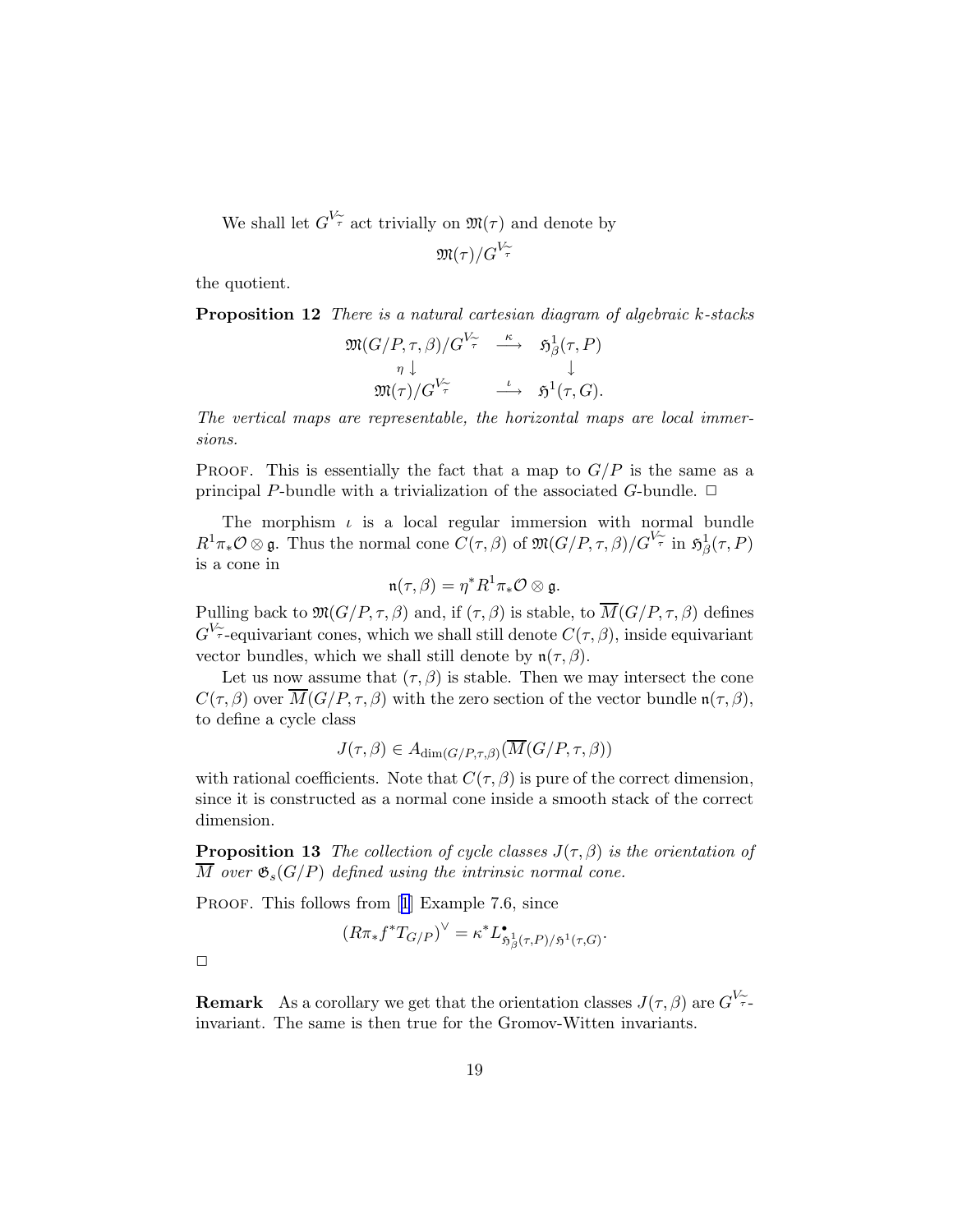We shall let  $G^{V_{\widetilde{\tau}}}$  act trivially on  $\mathfrak{M}(\tau)$  and denote by

$$
\mathfrak{M}(\tau)/G^{V_{\widetilde{\tau}}}
$$

the quotient.

Proposition 12 There is a natural cartesian diagram of algebraic k-stacks

$$
\mathfrak{M}(G/P, \tau, \beta)/G^{\overline{V_{\tau}}} \xrightarrow{\kappa} \mathfrak{H}^1_{\beta}(\tau, P)
$$
  
\n
$$
\eta \downarrow \qquad \qquad \downarrow
$$
  
\n
$$
\mathfrak{M}(\tau)/G^{\overline{V_{\tau}}} \xrightarrow{\iota} \mathfrak{H}^1(\tau, G).
$$

The vertical maps are representable, the horizontal maps are local immersions.

PROOF. This is essentially the fact that a map to  $G/P$  is the same as a principal P-bundle with a trivialization of the associated G-bundle.  $\Box$ 

The morphism  $\iota$  is a local regular immersion with normal bundle  $R^1\pi_*\mathcal{O}\otimes\mathfrak{g}$ . Thus the normal cone  $\widetilde{C}(\tau,\beta)$  of  $\mathfrak{M}(G/P,\tau,\beta)/G^{\overline{V_{\widetilde{\tau}}}}$  in  $\mathfrak{H}^1_{\beta}(\tau,P)$ is a cone in

$$
\mathfrak{n}(\tau,\beta)=\eta^*R^1\pi_*\mathcal{O}\otimes \mathfrak{g}.
$$

Pulling back to  $\mathfrak{M}(G/P,\tau,\beta)$  and, if  $(\tau,\beta)$  is stable, to  $\overline{M}(G/P,\tau,\beta)$  defines  $G^{V_{\widetilde{\tau}}}$ -equivariant cones, which we shall still denote  $C(\tau,\beta)$ , inside equivariant vector bundles, which we shall still denote by  $\mathfrak{n}(\tau,\beta)$ .

Let us now assume that  $(\tau,\beta)$  is stable. Then we may intersect the cone  $C(\tau,\beta)$  over  $\overline{M}(G/P,\tau,\beta)$  with the zero section of the vector bundle  $\mathfrak{n}(\tau,\beta)$ , to define a cycle class

$$
J(\tau,\beta) \in A_{\dim(G/P,\tau,\beta)}(\overline{M}(G/P,\tau,\beta))
$$

with rational coefficients. Note that  $C(\tau,\beta)$  is pure of the correct dimension, since it is constructed as a normal cone inside a smooth stack of the correct dimension.

**Proposition 13** The collection of cycle classes  $J(\tau,\beta)$  is the orientation of  $\overline{M}$  over  $\mathfrak{G}_s(G/P)$  defined using the intrinsic normal cone.

PROOF.This follows from [[1](#page-19-0)] Example 7.6, since

$$
(R\pi_*f^*T_{G/P})^{\vee} = \kappa^*L^{\bullet}_{\mathfrak{H}^1_{\beta}(\tau,P)/\mathfrak{H}^1(\tau,G)}.
$$

 $\Box$ 

**Remark** As a corollary we get that the orientation classes  $J(\tau,\beta)$  are  $G^{V_{\widetilde{\tau}}}.$ invariant. The same is then true for the Gromov-Witten invariants.